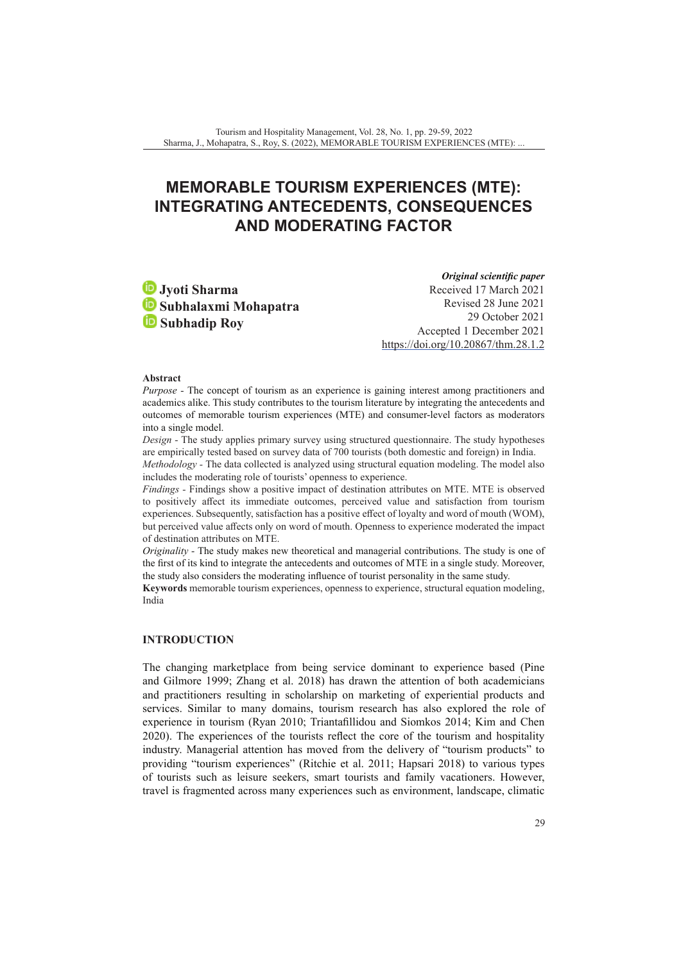# **MEMORABLE TOURISM EXPERIENCES (MTE): INTEGRATING ANTECEDENTS, CONSEQUENCES AND MODERATING FACTOR**

**Jyoti Sharma Subhalaxmi Mohapatra Subhadip Roy**

*Original scientific paper* Received 17 March 2021 Revised 28 June 2021 29 October 2021 Accepted 1 December 2021 <https://doi.org/10.20867/thm.28.1.2>

#### **Abstract**

*Purpose -* The concept of tourism as an experience is gaining interest among practitioners and academics alike. This study contributes to the tourism literature by integrating the antecedents and outcomes of memorable tourism experiences (MTE) and consumer-level factors as moderators into a single model.

*Design -* The study applies primary survey using structured questionnaire. The study hypotheses are empirically tested based on survey data of 700 tourists (both domestic and foreign) in India.

*Methodology -* The data collected is analyzed using structural equation modeling. The model also includes the moderating role of tourists' openness to experience.

*Findings -* Findings show a positive impact of destination attributes on MTE. MTE is observed to positively affect its immediate outcomes, perceived value and satisfaction from tourism experiences. Subsequently, satisfaction has a positive effect of loyalty and word of mouth (WOM), but perceived value affects only on word of mouth. Openness to experience moderated the impact of destination attributes on MTE.

*Originality -* The study makes new theoretical and managerial contributions. The study is one of the first of its kind to integrate the antecedents and outcomes of MTE in a single study. Moreover, the study also considers the moderating influence of tourist personality in the same study.

**Keywords** memorable tourism experiences, openness to experience, structural equation modeling, India

# **INTRODUCTION**

The changing marketplace from being service dominant to experience based (Pine and Gilmore 1999; Zhang et al. 2018) has drawn the attention of both academicians and practitioners resulting in scholarship on marketing of experiential products and services. Similar to many domains, tourism research has also explored the role of experience in tourism (Ryan 2010; Triantafillidou and Siomkos 2014; Kim and Chen 2020). The experiences of the tourists reflect the core of the tourism and hospitality industry. Managerial attention has moved from the delivery of "tourism products" to providing "tourism experiences" (Ritchie et al. 2011; Hapsari 2018) to various types of tourists such as leisure seekers, smart tourists and family vacationers. However, travel is fragmented across many experiences such as environment, landscape, climatic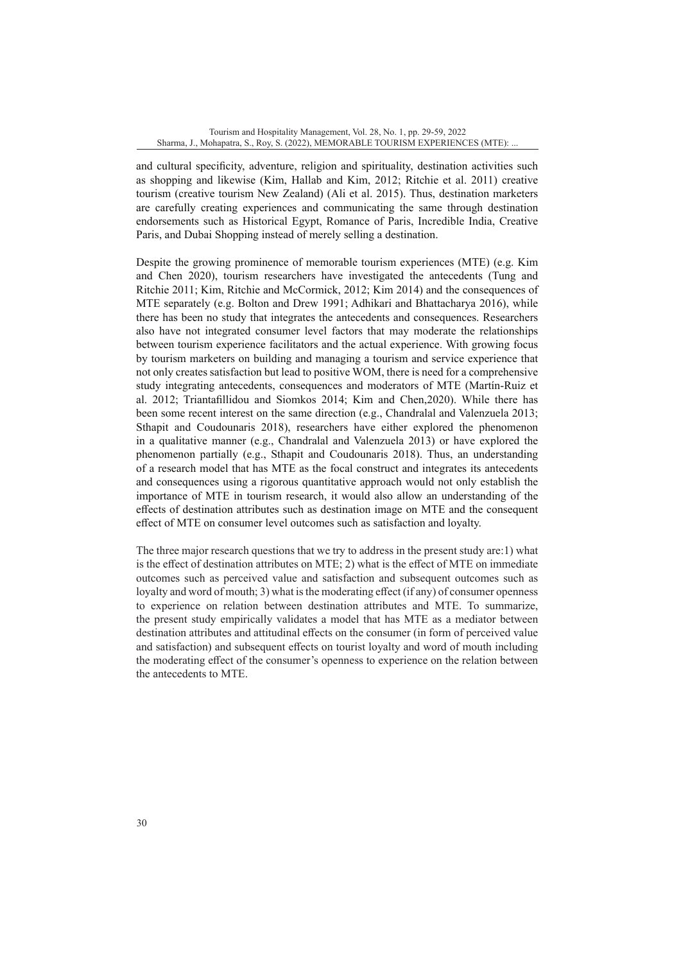and cultural specificity, adventure, religion and spirituality, destination activities such as shopping and likewise (Kim, Hallab and Kim, 2012; Ritchie et al. 2011) creative tourism (creative tourism New Zealand) (Ali et al. 2015). Thus, destination marketers are carefully creating experiences and communicating the same through destination endorsements such as Historical Egypt, Romance of Paris, Incredible India, Creative Paris, and Dubai Shopping instead of merely selling a destination.

Despite the growing prominence of memorable tourism experiences (MTE) (e.g. Kim and Chen 2020), tourism researchers have investigated the antecedents (Tung and Ritchie 2011; Kim, Ritchie and McCormick, 2012; Kim 2014) and the consequences of MTE separately (e.g. Bolton and Drew 1991; Adhikari and Bhattacharya 2016), while there has been no study that integrates the antecedents and consequences. Researchers also have not integrated consumer level factors that may moderate the relationships between tourism experience facilitators and the actual experience. With growing focus by tourism marketers on building and managing a tourism and service experience that not only creates satisfaction but lead to positive WOM, there is need for a comprehensive study integrating antecedents, consequences and moderators of MTE (Martín-Ruiz et al. 2012; Triantafillidou and Siomkos 2014; Kim and Chen,2020). While there has been some recent interest on the same direction (e.g., Chandralal and Valenzuela 2013; Sthapit and Coudounaris 2018), researchers have either explored the phenomenon in a qualitative manner (e.g., Chandralal and Valenzuela 2013) or have explored the phenomenon partially (e.g., Sthapit and Coudounaris 2018). Thus, an understanding of a research model that has MTE as the focal construct and integrates its antecedents and consequences using a rigorous quantitative approach would not only establish the importance of MTE in tourism research, it would also allow an understanding of the effects of destination attributes such as destination image on MTE and the consequent effect of MTE on consumer level outcomes such as satisfaction and loyalty.

The three major research questions that we try to address in the present study are:1) what is the effect of destination attributes on MTE; 2) what is the effect of MTE on immediate outcomes such as perceived value and satisfaction and subsequent outcomes such as loyalty and word of mouth; 3) what is the moderating effect (if any) of consumer openness to experience on relation between destination attributes and MTE. To summarize, the present study empirically validates a model that has MTE as a mediator between destination attributes and attitudinal effects on the consumer (in form of perceived value and satisfaction) and subsequent effects on tourist loyalty and word of mouth including the moderating effect of the consumer's openness to experience on the relation between the antecedents to MTE.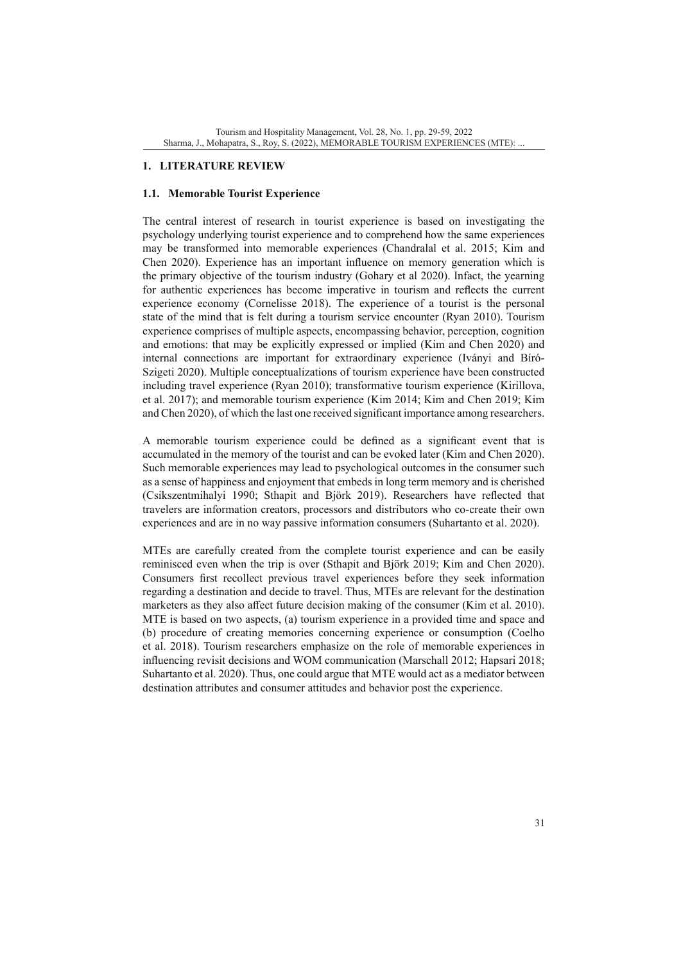# **1. LITERATURE REVIEW**

## **1.1. Memorable Tourist Experience**

The central interest of research in tourist experience is based on investigating the psychology underlying tourist experience and to comprehend how the same experiences may be transformed into memorable experiences (Chandralal et al. 2015; Kim and Chen 2020). Experience has an important influence on memory generation which is the primary objective of the tourism industry (Gohary et al 2020). Infact, the yearning for authentic experiences has become imperative in tourism and reflects the current experience economy (Cornelisse 2018). The experience of a tourist is the personal state of the mind that is felt during a tourism service encounter (Ryan 2010). Tourism experience comprises of multiple aspects, encompassing behavior, perception, cognition and emotions: that may be explicitly expressed or implied (Kim and Chen 2020) and internal connections are important for extraordinary experience (Iványi and Bíró-Szigeti 2020). Multiple conceptualizations of tourism experience have been constructed including travel experience (Ryan 2010); transformative tourism experience (Kirillova, et al. 2017); and memorable tourism experience (Kim 2014; Kim and Chen 2019; Kim and Chen 2020), of which the last one received significant importance among researchers.

A memorable tourism experience could be defined as a significant event that is accumulated in the memory of the tourist and can be evoked later (Kim and Chen 2020). Such memorable experiences may lead to psychological outcomes in the consumer such as a sense of happiness and enjoyment that embeds in long term memory and is cherished (Csikszentmihalyi 1990; Sthapit and Björk 2019). Researchers have reflected that travelers are information creators, processors and distributors who co-create their own experiences and are in no way passive information consumers (Suhartanto et al. 2020).

MTEs are carefully created from the complete tourist experience and can be easily reminisced even when the trip is over (Sthapit and Björk 2019; Kim and Chen 2020). Consumers first recollect previous travel experiences before they seek information regarding a destination and decide to travel. Thus, MTEs are relevant for the destination marketers as they also affect future decision making of the consumer (Kim et al. 2010). MTE is based on two aspects, (a) tourism experience in a provided time and space and (b) procedure of creating memories concerning experience or consumption (Coelho et al. 2018). Tourism researchers emphasize on the role of memorable experiences in influencing revisit decisions and WOM communication (Marschall 2012; Hapsari 2018; Suhartanto et al. 2020). Thus, one could argue that MTE would act as a mediator between destination attributes and consumer attitudes and behavior post the experience.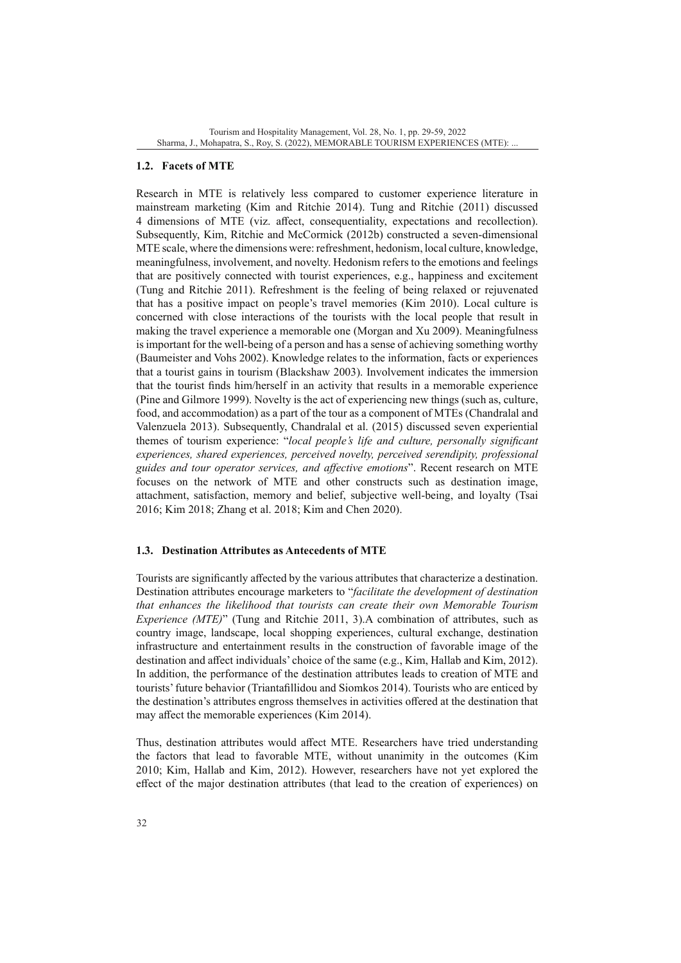# **1.2. Facets of MTE**

Research in MTE is relatively less compared to customer experience literature in mainstream marketing (Kim and Ritchie 2014). Tung and Ritchie (2011) discussed 4 dimensions of MTE (viz. affect, consequentiality, expectations and recollection). Subsequently, Kim, Ritchie and McCormick (2012b) constructed a seven-dimensional MTE scale, where the dimensions were: refreshment, hedonism, local culture, knowledge, meaningfulness, involvement, and novelty. Hedonism refers to the emotions and feelings that are positively connected with tourist experiences, e.g., happiness and excitement (Tung and Ritchie 2011). Refreshment is the feeling of being relaxed or rejuvenated that has a positive impact on people's travel memories (Kim 2010). Local culture is concerned with close interactions of the tourists with the local people that result in making the travel experience a memorable one (Morgan and Xu 2009). Meaningfulness is important for the well-being of a person and has a sense of achieving something worthy (Baumeister and Vohs 2002). Knowledge relates to the information, facts or experiences that a tourist gains in tourism (Blackshaw 2003). Involvement indicates the immersion that the tourist finds him/herself in an activity that results in a memorable experience (Pine and Gilmore 1999). Novelty is the act of experiencing new things (such as, culture, food, and accommodation) as a part of the tour as a component of MTEs (Chandralal and Valenzuela 2013). Subsequently, Chandralal et al. (2015) discussed seven experiential themes of tourism experience: "*local people's life and culture, personally significant experiences, shared experiences, perceived novelty, perceived serendipity, professional guides and tour operator services, and affective emotions*". Recent research on MTE focuses on the network of MTE and other constructs such as destination image, attachment, satisfaction, memory and belief, subjective well-being, and loyalty (Tsai 2016; Kim 2018; Zhang et al. 2018; Kim and Chen 2020).

### **1.3. Destination Attributes as Antecedents of MTE**

Tourists are significantly affected by the various attributes that characterize a destination. Destination attributes encourage marketers to "*facilitate the development of destination that enhances the likelihood that tourists can create their own Memorable Tourism Experience (MTE)*" (Tung and Ritchie 2011, 3).A combination of attributes, such as country image, landscape, local shopping experiences, cultural exchange, destination infrastructure and entertainment results in the construction of favorable image of the destination and affect individuals' choice of the same (e.g., Kim, Hallab and Kim, 2012). In addition, the performance of the destination attributes leads to creation of MTE and tourists' future behavior (Triantafillidou and Siomkos 2014). Tourists who are enticed by the destination's attributes engross themselves in activities offered at the destination that may affect the memorable experiences (Kim 2014).

Thus, destination attributes would affect MTE. Researchers have tried understanding the factors that lead to favorable MTE, without unanimity in the outcomes (Kim 2010; Kim, Hallab and Kim, 2012). However, researchers have not yet explored the effect of the major destination attributes (that lead to the creation of experiences) on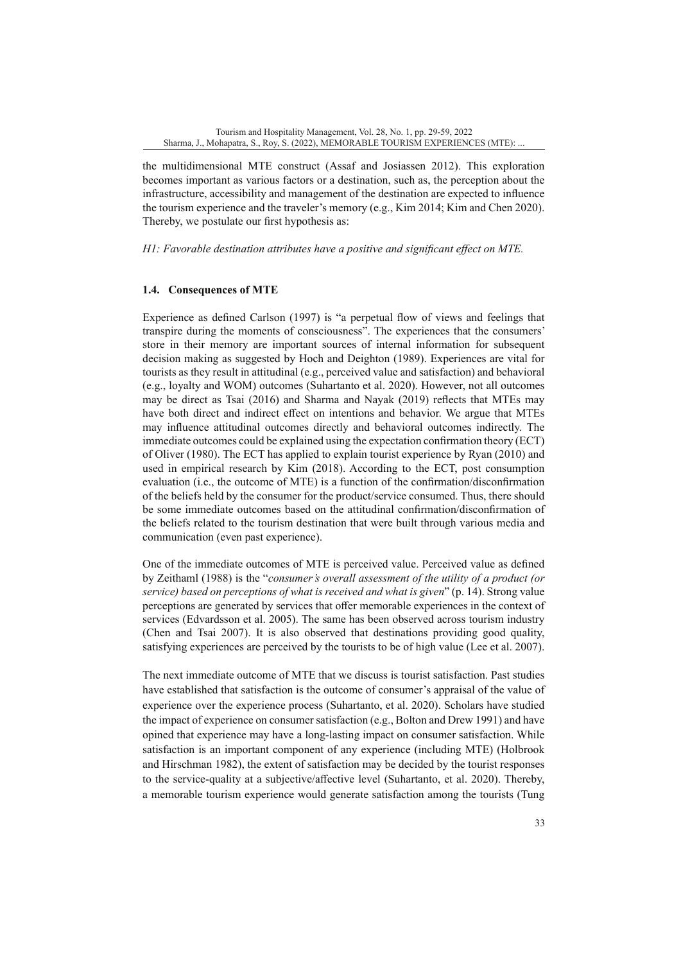the multidimensional MTE construct (Assaf and Josiassen 2012). This exploration becomes important as various factors or a destination, such as, the perception about the infrastructure, accessibility and management of the destination are expected to influence the tourism experience and the traveler's memory (e.g., Kim 2014; Kim and Chen 2020). Thereby, we postulate our first hypothesis as:

*H1: Favorable destination attributes have a positive and significant effect on MTE.*

## **1.4. Consequences of MTE**

Experience as defined Carlson (1997) is "a perpetual flow of views and feelings that transpire during the moments of consciousness". The experiences that the consumers' store in their memory are important sources of internal information for subsequent decision making as suggested by Hoch and Deighton (1989). Experiences are vital for tourists as they result in attitudinal (e.g., perceived value and satisfaction) and behavioral (e.g., loyalty and WOM) outcomes (Suhartanto et al. 2020). However, not all outcomes may be direct as Tsai (2016) and Sharma and Nayak (2019) reflects that MTEs may have both direct and indirect effect on intentions and behavior. We argue that MTEs may influence attitudinal outcomes directly and behavioral outcomes indirectly. The immediate outcomes could be explained using the expectation confirmation theory (ECT) of Oliver (1980). The ECT has applied to explain tourist experience by Ryan (2010) and used in empirical research by Kim (2018). According to the ECT, post consumption evaluation (i.e., the outcome of MTE) is a function of the confirmation/disconfirmation of the beliefs held by the consumer for the product/service consumed. Thus, there should be some immediate outcomes based on the attitudinal confirmation/disconfirmation of the beliefs related to the tourism destination that were built through various media and communication (even past experience).

One of the immediate outcomes of MTE is perceived value. Perceived value as defined by Zeithaml (1988) is the "*consumer's overall assessment of the utility of a product (or service) based on perceptions of what is received and what is given*" (p. 14). Strong value perceptions are generated by services that offer memorable experiences in the context of services (Edvardsson et al. 2005). The same has been observed across tourism industry (Chen and Tsai 2007). It is also observed that destinations providing good quality, satisfying experiences are perceived by the tourists to be of high value (Lee et al. 2007).

The next immediate outcome of MTE that we discuss is tourist satisfaction. Past studies have established that satisfaction is the outcome of consumer's appraisal of the value of experience over the experience process (Suhartanto, et al. 2020). Scholars have studied the impact of experience on consumer satisfaction (e.g., Bolton and Drew 1991) and have opined that experience may have a long-lasting impact on consumer satisfaction. While satisfaction is an important component of any experience (including MTE) (Holbrook and Hirschman 1982), the extent of satisfaction may be decided by the tourist responses to the service-quality at a subjective/affective level (Suhartanto, et al. 2020). Thereby, a memorable tourism experience would generate satisfaction among the tourists (Tung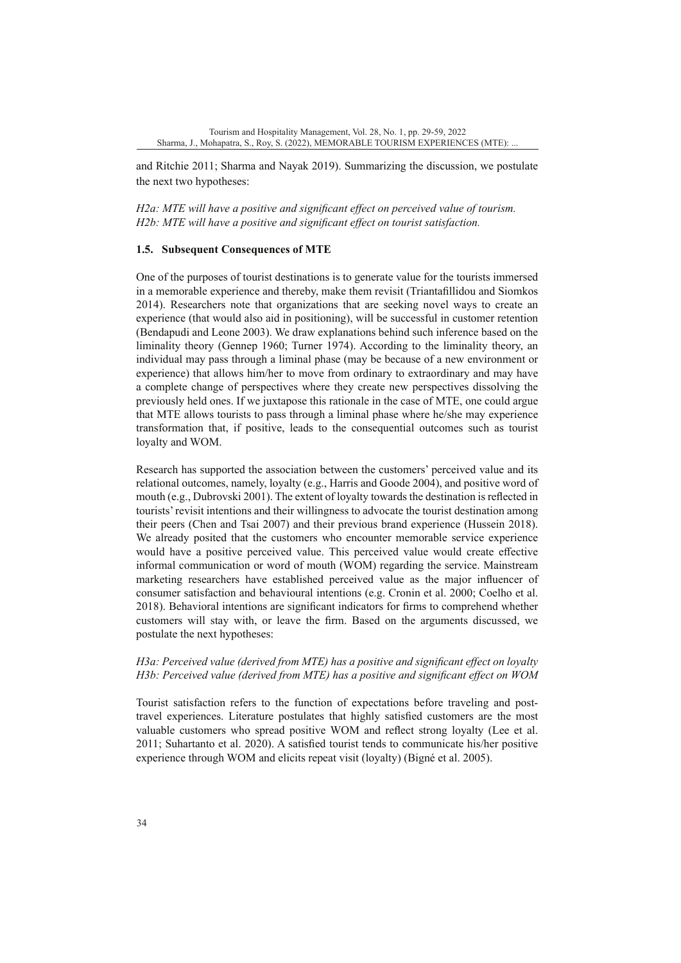and Ritchie 2011; Sharma and Nayak 2019). Summarizing the discussion, we postulate the next two hypotheses:

*H2a: MTE will have a positive and significant effect on perceived value of tourism. H2b: MTE will have a positive and significant effect on tourist satisfaction.*

### **1.5. Subsequent Consequences of MTE**

One of the purposes of tourist destinations is to generate value for the tourists immersed in a memorable experience and thereby, make them revisit (Triantafillidou and Siomkos 2014). Researchers note that organizations that are seeking novel ways to create an experience (that would also aid in positioning), will be successful in customer retention (Bendapudi and Leone 2003). We draw explanations behind such inference based on the liminality theory (Gennep 1960; Turner 1974). According to the liminality theory, an individual may pass through a liminal phase (may be because of a new environment or experience) that allows him/her to move from ordinary to extraordinary and may have a complete change of perspectives where they create new perspectives dissolving the previously held ones. If we juxtapose this rationale in the case of MTE, one could argue that MTE allows tourists to pass through a liminal phase where he/she may experience transformation that, if positive, leads to the consequential outcomes such as tourist loyalty and WOM.

Research has supported the association between the customers' perceived value and its relational outcomes, namely, loyalty (e.g., Harris and Goode 2004), and positive word of mouth (e.g., Dubrovski 2001). The extent of loyalty towards the destination is reflected in tourists' revisit intentions and their willingness to advocate the tourist destination among their peers (Chen and Tsai 2007) and their previous brand experience (Hussein 2018). We already posited that the customers who encounter memorable service experience would have a positive perceived value. This perceived value would create effective informal communication or word of mouth (WOM) regarding the service. Mainstream marketing researchers have established perceived value as the major influencer of consumer satisfaction and behavioural intentions (e.g. Cronin et al. 2000; Coelho et al. 2018). Behavioral intentions are significant indicators for firms to comprehend whether customers will stay with, or leave the firm. Based on the arguments discussed, we postulate the next hypotheses:

# *H3a: Perceived value (derived from MTE) has a positive and significant effect on loyalty H3b: Perceived value (derived from MTE) has a positive and significant effect on WOM*

Tourist satisfaction refers to the function of expectations before traveling and posttravel experiences. Literature postulates that highly satisfied customers are the most valuable customers who spread positive WOM and reflect strong loyalty (Lee et al. 2011; Suhartanto et al. 2020). A satisfied tourist tends to communicate his/her positive experience through WOM and elicits repeat visit (loyalty) (Bigné et al. 2005).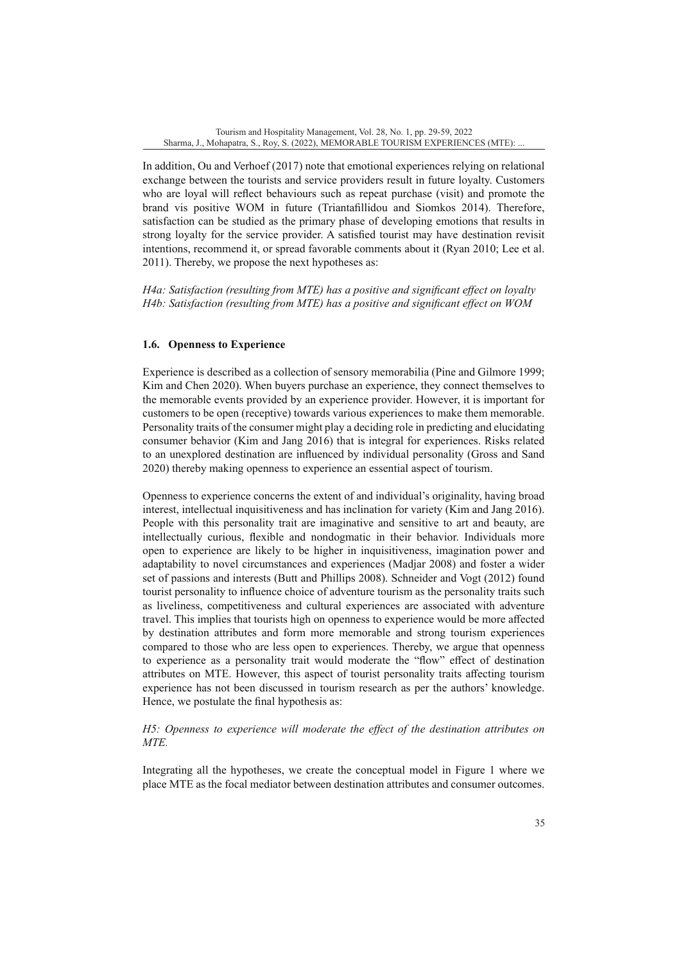In addition, Ou and Verhoef (2017) note that emotional experiences relying on relational exchange between the tourists and service providers result in future loyalty. Customers who are loyal will reflect behaviours such as repeat purchase (visit) and promote the brand vis positive WOM in future (Triantafillidou and Siomkos 2014). Therefore, satisfaction can be studied as the primary phase of developing emotions that results in strong loyalty for the service provider. A satisfied tourist may have destination revisit intentions, recommend it, or spread favorable comments about it (Ryan 2010; Lee et al. 2011). Thereby, we propose the next hypotheses as:

*H4a: Satisfaction (resulting from MTE) has a positive and significant effect on loyalty H4b: Satisfaction (resulting from MTE) has a positive and significant effect on WOM*

# **1.6. Openness to Experience**

Experience is described as a collection of sensory memorabilia (Pine and Gilmore 1999; Kim and Chen 2020). When buyers purchase an experience, they connect themselves to the memorable events provided by an experience provider. However, it is important for customers to be open (receptive) towards various experiences to make them memorable. Personality traits of the consumer might play a deciding role in predicting and elucidating consumer behavior (Kim and Jang 2016) that is integral for experiences. Risks related to an unexplored destination are influenced by individual personality (Gross and Sand 2020) thereby making openness to experience an essential aspect of tourism.

Openness to experience concerns the extent of and individual's originality, having broad interest, intellectual inquisitiveness and has inclination for variety (Kim and Jang 2016). People with this personality trait are imaginative and sensitive to art and beauty, are intellectually curious, flexible and nondogmatic in their behavior. Individuals more open to experience are likely to be higher in inquisitiveness, imagination power and adaptability to novel circumstances and experiences (Madjar 2008) and foster a wider set of passions and interests (Butt and Phillips 2008). Schneider and Vogt (2012) found tourist personality to influence choice of adventure tourism as the personality traits such as liveliness, competitiveness and cultural experiences are associated with adventure travel. This implies that tourists high on openness to experience would be more affected by destination attributes and form more memorable and strong tourism experiences compared to those who are less open to experiences. Thereby, we argue that openness to experience as a personality trait would moderate the "flow" effect of destination attributes on MTE. However, this aspect of tourist personality traits affecting tourism experience has not been discussed in tourism research as per the authors' knowledge. Hence, we postulate the final hypothesis as:

# *H5: Openness to experience will moderate the effect of the destination attributes on MTE.*

Integrating all the hypotheses, we create the conceptual model in Figure 1 where we place MTE as the focal mediator between destination attributes and consumer outcomes.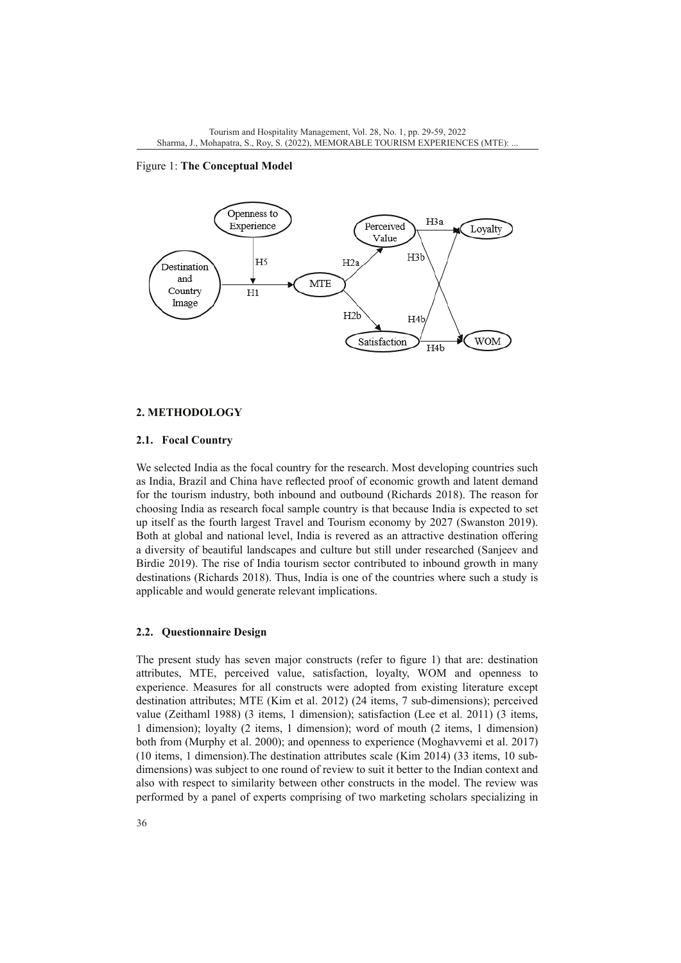Figure 1: **The Conceptual Model**



#### **2. METHODOLOGY**

#### **2.1. Focal Country**

We selected India as the focal country for the research. Most developing countries such as India, Brazil and China have reflected proof of economic growth and latent demand for the tourism industry, both inbound and outbound (Richards 2018). The reason for choosing India as research focal sample country is that because India is expected to set up itself as the fourth largest Travel and Tourism economy by 2027 (Swanston 2019). Both at global and national level, India is revered as an attractive destination offering a diversity of beautiful landscapes and culture but still under researched (Sanjeev and Birdie 2019). The rise of India tourism sector contributed to inbound growth in many destinations (Richards 2018). Thus, India is one of the countries where such a study is applicable and would generate relevant implications.

## **2.2. Questionnaire Design**

The present study has seven major constructs (refer to figure 1) that are: destination attributes, MTE, perceived value, satisfaction, loyalty, WOM and openness to experience. Measures for all constructs were adopted from existing literature except destination attributes; MTE (Kim et al. 2012) (24 items, 7 sub-dimensions); perceived value (Zeithaml 1988) (3 items, 1 dimension); satisfaction (Lee et al. 2011) (3 items, 1 dimension); loyalty (2 items, 1 dimension); word of mouth (2 items, 1 dimension) both from (Murphy et al. 2000); and openness to experience (Moghavvemi et al. 2017) (10 items, 1 dimension).The destination attributes scale (Kim 2014) (33 items, 10 subdimensions) was subject to one round of review to suit it better to the Indian context and also with respect to similarity between other constructs in the model. The review was performed by a panel of experts comprising of two marketing scholars specializing in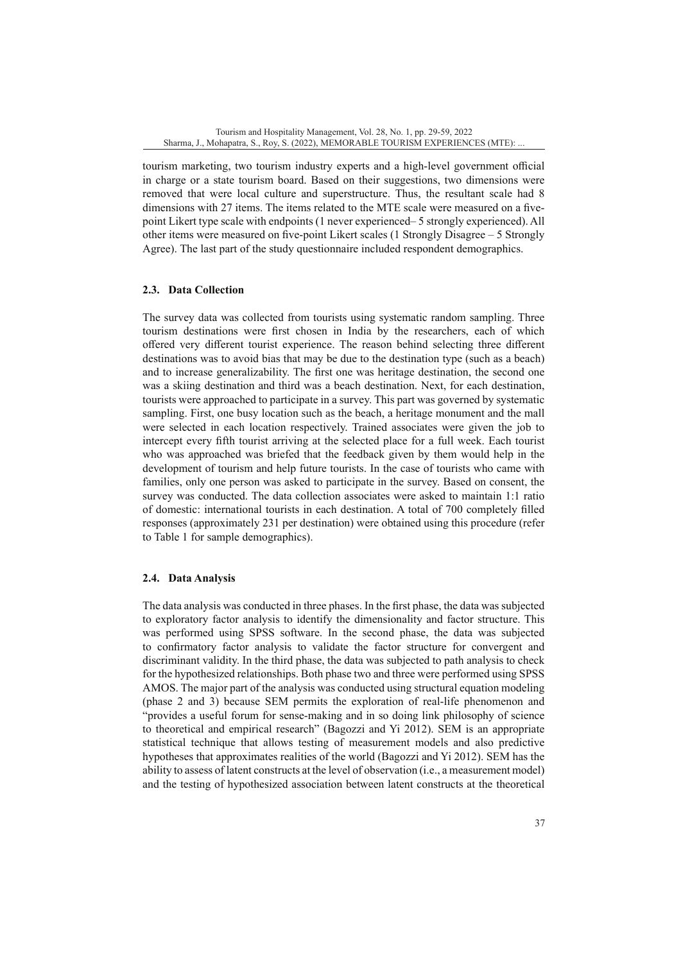tourism marketing, two tourism industry experts and a high-level government official in charge or a state tourism board. Based on their suggestions, two dimensions were removed that were local culture and superstructure. Thus, the resultant scale had 8 dimensions with 27 items. The items related to the MTE scale were measured on a fivepoint Likert type scale with endpoints (1 never experienced– 5 strongly experienced). All other items were measured on five-point Likert scales (1 Strongly Disagree – 5 Strongly Agree). The last part of the study questionnaire included respondent demographics.

# **2.3. Data Collection**

The survey data was collected from tourists using systematic random sampling. Three tourism destinations were first chosen in India by the researchers, each of which offered very different tourist experience. The reason behind selecting three different destinations was to avoid bias that may be due to the destination type (such as a beach) and to increase generalizability. The first one was heritage destination, the second one was a skiing destination and third was a beach destination. Next, for each destination, tourists were approached to participate in a survey. This part was governed by systematic sampling. First, one busy location such as the beach, a heritage monument and the mall were selected in each location respectively. Trained associates were given the job to intercept every fifth tourist arriving at the selected place for a full week. Each tourist who was approached was briefed that the feedback given by them would help in the development of tourism and help future tourists. In the case of tourists who came with families, only one person was asked to participate in the survey. Based on consent, the survey was conducted. The data collection associates were asked to maintain 1:1 ratio of domestic: international tourists in each destination. A total of 700 completely filled responses (approximately 231 per destination) were obtained using this procedure (refer to Table 1 for sample demographics).

# **2.4. Data Analysis**

The data analysis was conducted in three phases. In the first phase, the data was subjected to exploratory factor analysis to identify the dimensionality and factor structure. This was performed using SPSS software. In the second phase, the data was subjected to confirmatory factor analysis to validate the factor structure for convergent and discriminant validity. In the third phase, the data was subjected to path analysis to check for the hypothesized relationships. Both phase two and three were performed using SPSS AMOS. The major part of the analysis was conducted using structural equation modeling (phase 2 and 3) because SEM permits the exploration of real-life phenomenon and "provides a useful forum for sense-making and in so doing link philosophy of science to theoretical and empirical research" (Bagozzi and Yi 2012). SEM is an appropriate statistical technique that allows testing of measurement models and also predictive hypotheses that approximates realities of the world (Bagozzi and Yi 2012). SEM has the ability to assess of latent constructs at the level of observation (i.e., a measurement model) and the testing of hypothesized association between latent constructs at the theoretical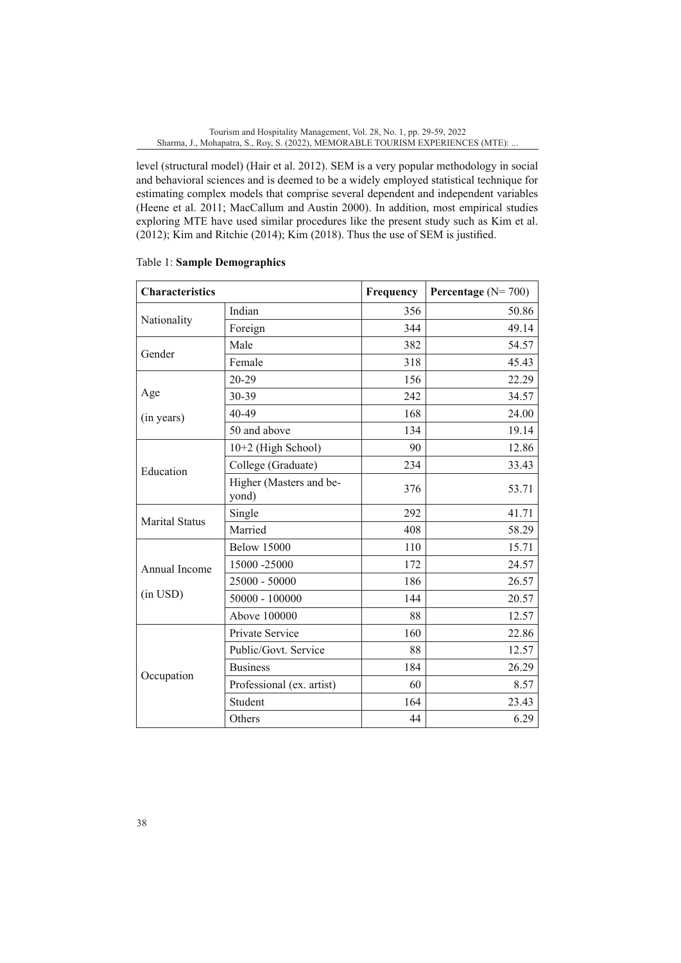level (structural model) (Hair et al. 2012). SEM is a very popular methodology in social and behavioral sciences and is deemed to be a widely employed statistical technique for estimating complex models that comprise several dependent and independent variables (Heene et al. 2011; MacCallum and Austin 2000). In addition, most empirical studies exploring MTE have used similar procedures like the present study such as Kim et al. (2012); Kim and Ritchie (2014); Kim (2018). Thus the use of SEM is justified.

| <b>Characteristics</b> |                                  | Frequency | Percentage $(N=700)$ |
|------------------------|----------------------------------|-----------|----------------------|
|                        | Indian                           | 356       | 50.86                |
| Nationality            | Foreign                          | 344       | 49.14                |
| Gender                 | Male                             | 382       | 54.57                |
|                        | Female                           | 318       | 45.43                |
|                        | 20-29                            | 156       | 22.29                |
| Age                    | 30-39                            | 242       | 34.57                |
| (in years)             | $40 - 49$                        | 168       | 24.00                |
|                        | 50 and above                     | 134       | 19.14                |
|                        | 10+2 (High School)               | 90        | 12.86                |
| Education              | College (Graduate)               | 234       | 33.43                |
|                        | Higher (Masters and be-<br>yond) | 376       | 53.71                |
| <b>Marital Status</b>  | Single                           | 292       | 41.71                |
|                        | Married                          | 408       | 58.29                |
|                        | <b>Below 15000</b>               | 110       | 15.71                |
| Annual Income          | 15000 -25000                     | 172       | 24.57                |
|                        | 25000 - 50000                    | 186       | 26.57                |
| (in USD)               | $50000 - 100000$                 | 144       | 20.57                |
|                        | Above 100000                     | 88        | 12.57                |
|                        | Private Service                  | 160       | 22.86                |
|                        | Public/Govt. Service             | 88        | 12.57                |
|                        | <b>Business</b>                  | 184       | 26.29                |
| Occupation             | Professional (ex. artist)        | 60        | 8.57                 |
|                        | Student                          | 164       | 23.43                |
|                        | Others                           | 44        | 6.29                 |

# Table 1: **Sample Demographics**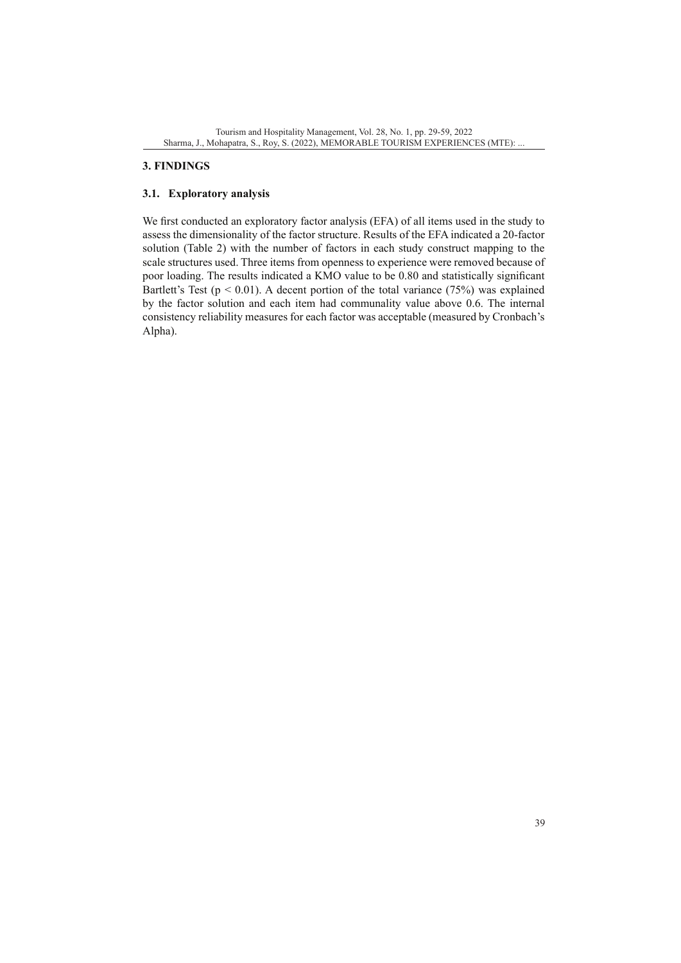# **3. FINDINGS**

# **3.1. Exploratory analysis**

We first conducted an exploratory factor analysis (EFA) of all items used in the study to assess the dimensionality of the factor structure. Results of the EFA indicated a 20-factor solution (Table 2) with the number of factors in each study construct mapping to the scale structures used. Three items from openness to experience were removed because of poor loading. The results indicated a KMO value to be 0.80 and statistically significant Bartlett's Test ( $p < 0.01$ ). A decent portion of the total variance (75%) was explained by the factor solution and each item had communality value above 0.6. The internal consistency reliability measures for each factor was acceptable (measured by Cronbach's Alpha).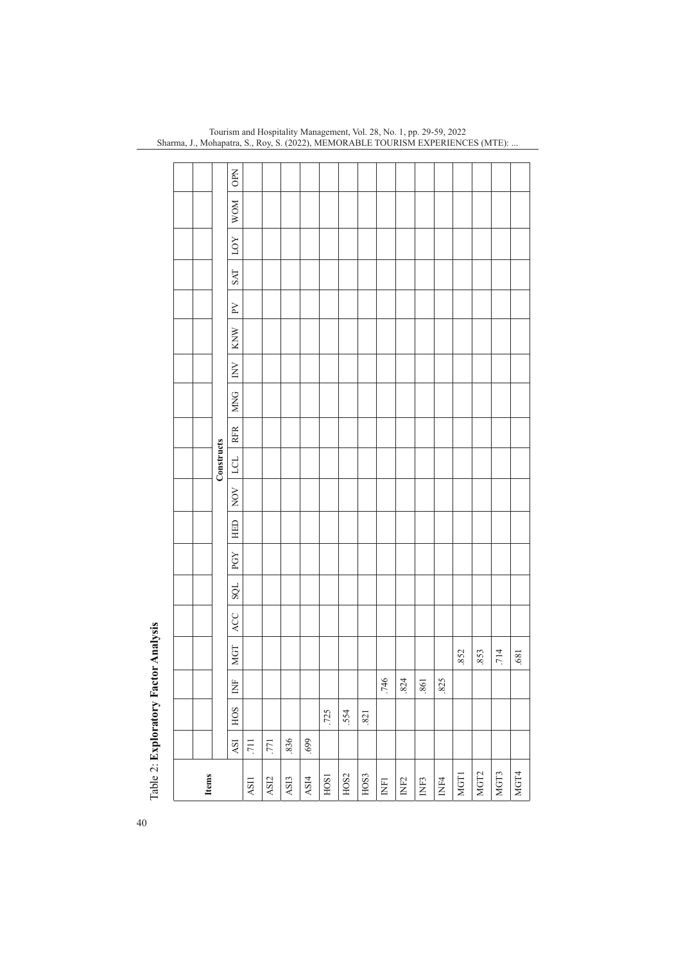| <b>Items</b>              |                             |            |               |            |     |     |     |     |     |            |            |            |                                     |     |            |     |     |            |            |
|---------------------------|-----------------------------|------------|---------------|------------|-----|-----|-----|-----|-----|------------|------------|------------|-------------------------------------|-----|------------|-----|-----|------------|------------|
|                           |                             |            |               |            |     |     |     |     |     | Constructs |            |            |                                     |     |            |     |     |            |            |
|                           | $\mathop{\rm ASI}\nolimits$ | <b>HOS</b> | $\breve{\Xi}$ | <b>MGT</b> | ACC | SQL | PGY | HED | NOV | LCL        | <b>RFR</b> | <b>MNG</b> | $\rm \stackrel{\textstyle >}{\geq}$ | KNW | $\rm \geq$ | SAT | LOY | <b>WOM</b> | <b>OPN</b> |
| ASII                      | $\overline{.711}$           |            |               |            |     |     |     |     |     |            |            |            |                                     |     |            |     |     |            |            |
| ASI2                      | .771                        |            |               |            |     |     |     |     |     |            |            |            |                                     |     |            |     |     |            |            |
| ASI3                      | .836                        |            |               |            |     |     |     |     |     |            |            |            |                                     |     |            |     |     |            |            |
| ASI4                      | 699                         |            |               |            |     |     |     |     |     |            |            |            |                                     |     |            |     |     |            |            |
| HOS1                      |                             | .725       |               |            |     |     |     |     |     |            |            |            |                                     |     |            |     |     |            |            |
| HOS2                      |                             | .554       |               |            |     |     |     |     |     |            |            |            |                                     |     |            |     |     |            |            |
| HOS3                      |                             | .821       |               |            |     |     |     |     |     |            |            |            |                                     |     |            |     |     |            |            |
| <b>INFI</b>               |                             |            | .746          |            |     |     |     |     |     |            |            |            |                                     |     |            |     |     |            |            |
| INF <sub>2</sub>          |                             |            | .824          |            |     |     |     |     |     |            |            |            |                                     |     |            |     |     |            |            |
| INF3                      |                             |            | .861          |            |     |     |     |     |     |            |            |            |                                     |     |            |     |     |            |            |
| $\mathbb{N} \mathbb{F}^4$ |                             |            | .825          |            |     |     |     |     |     |            |            |            |                                     |     |            |     |     |            |            |
| MGT1                      |                             |            |               | .852       |     |     |     |     |     |            |            |            |                                     |     |            |     |     |            |            |
| MGT <sub>2</sub>          |                             |            |               | .853       |     |     |     |     |     |            |            |            |                                     |     |            |     |     |            |            |
| MGT3                      |                             |            |               | .714       |     |     |     |     |     |            |            |            |                                     |     |            |     |     |            |            |
| MGT4                      |                             |            |               | $.681$     |     |     |     |     |     |            |            |            |                                     |     |            |     |     |            |            |

Tourism and Hospitality Management, Vol. 28, No. 1, pp. 29-59, 2022 Sharma, J., Mohapatra, S., Roy, S. (2022), MEMORABLE TOURISM EXPERIENCES (MTE): ...

Table 2: Exploratory Factor Analysis Table 2: **Exploratory Factor Analysis**

40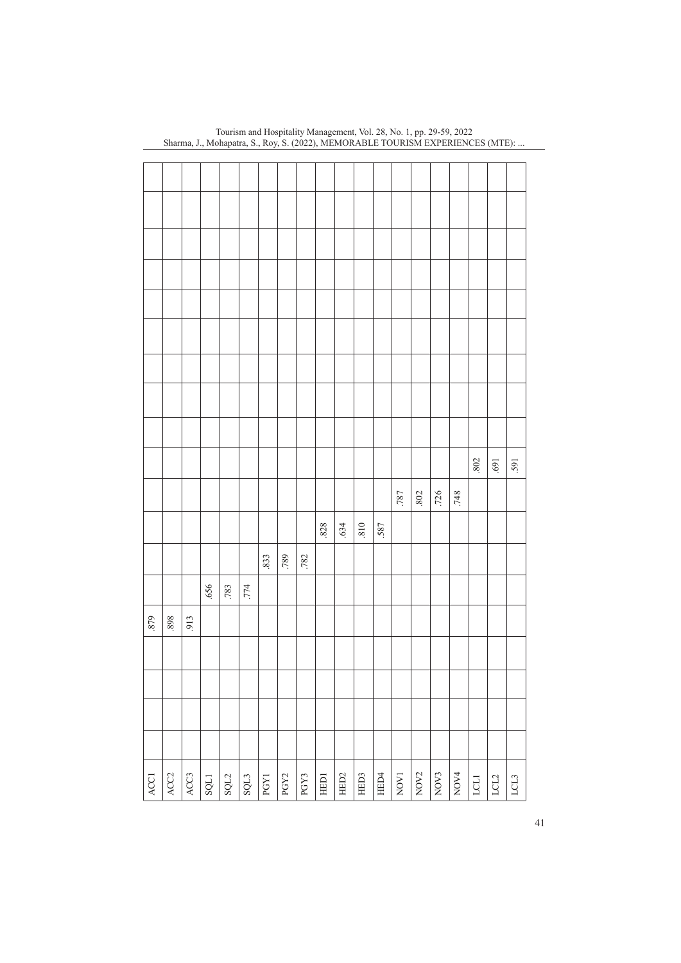|      |                  |                  |      |              |      |      |                              |      |        |                  |        |      |      |                    |                |                  | $\boldsymbol{802}$ | $\lceil 69 \rceil$ | 591  |
|------|------------------|------------------|------|--------------|------|------|------------------------------|------|--------|------------------|--------|------|------|--------------------|----------------|------------------|--------------------|--------------------|------|
|      |                  |                  |      |              |      |      |                              |      |        |                  |        |      | .787 | $.802$             | .726           | .748             |                    |                    |      |
|      |                  |                  |      |              |      |      |                              |      | $.828$ | .634             | $018.$ | .587 |      |                    |                |                  |                    |                    |      |
|      |                  |                  |      |              |      | .833 | .789                         | .782 |        |                  |        |      |      |                    |                |                  |                    |                    |      |
|      |                  |                  | 656  | .783         | .774 |      |                              |      |        |                  |        |      |      |                    |                |                  |                    |                    |      |
| 879  | 898.             | .913             |      |              |      |      |                              |      |        |                  |        |      |      |                    |                |                  |                    |                    |      |
|      |                  |                  |      |              |      |      |                              |      |        |                  |        |      |      |                    |                |                  |                    |                    |      |
|      |                  |                  |      |              |      |      |                              |      |        |                  |        |      |      |                    |                |                  |                    |                    |      |
|      |                  |                  |      |              |      |      |                              |      |        |                  |        |      |      |                    |                |                  |                    |                    |      |
|      |                  |                  |      |              |      |      |                              |      |        |                  |        |      |      |                    |                |                  |                    |                    |      |
|      |                  |                  |      |              |      |      |                              |      |        |                  |        |      |      |                    |                |                  |                    |                    |      |
| ACC1 | ACC <sub>2</sub> | $\overline{ACG}$ | SQL1 | $\text{SU2}$ | SQL3 | PGY1 | $\ensuremath{\mathrm{PGY2}}$ | PGY3 | HED1   | HED <sub>2</sub> | HED3   | HED4 | NOV1 | $_{\mathrm{NOV2}}$ | $\overline{N}$ | NOV <sub>4</sub> | LCLI               | LCL2               | LCL3 |

Tourism and Hospitality Management, Vol. 28, No. 1, pp. 29-59, 2022 Sharma, J., Mohapatra, S., Roy, S. (2022), MEMORABLE TOURISM EXPERIENCES (MTE): ...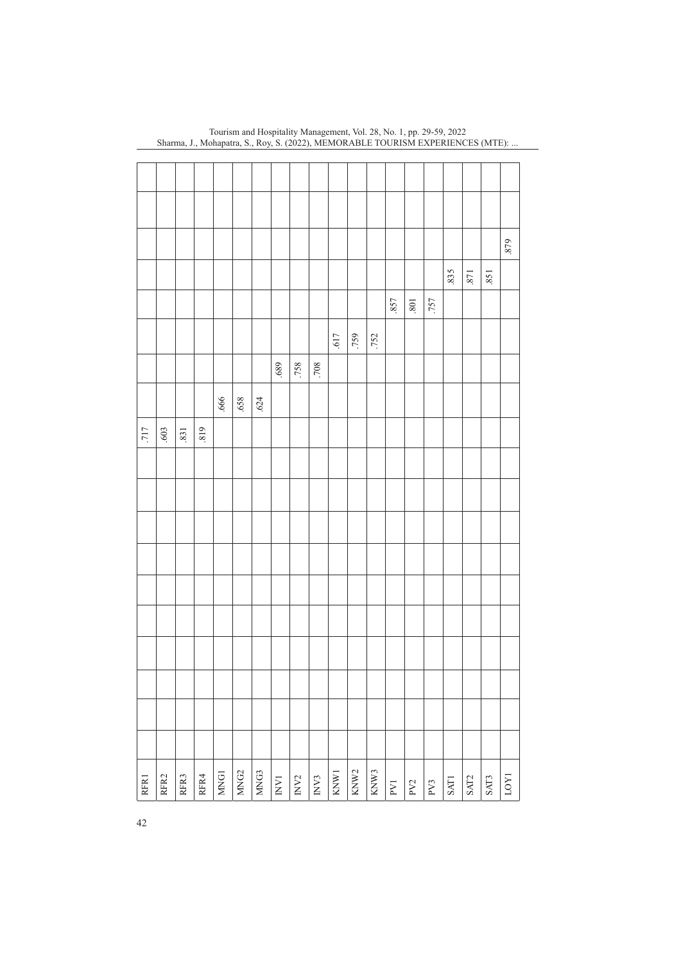|      |      |      |      |                  |                  |      |                          |                  |      |      |                  |      |      |                     |      |             |      |      | .879 |
|------|------|------|------|------------------|------------------|------|--------------------------|------------------|------|------|------------------|------|------|---------------------|------|-------------|------|------|------|
|      |      |      |      |                  |                  |      |                          |                  |      |      |                  |      |      |                     |      | .835        | .871 | .851 |      |
|      |      |      |      |                  |                  |      |                          |                  |      |      |                  |      | .857 | $\boldsymbol{.801}$ | .757 |             |      |      |      |
|      |      |      |      |                  |                  |      |                          |                  |      | .617 | .759             | .752 |      |                     |      |             |      |      |      |
|      |      |      |      |                  |                  |      | 689.                     | .758             | .708 |      |                  |      |      |                     |      |             |      |      |      |
|      |      |      |      | .666             | .658             | .624 |                          |                  |      |      |                  |      |      |                     |      |             |      |      |      |
| .717 | .603 | .831 | 819  |                  |                  |      |                          |                  |      |      |                  |      |      |                     |      |             |      |      |      |
|      |      |      |      |                  |                  |      |                          |                  |      |      |                  |      |      |                     |      |             |      |      |      |
|      |      |      |      |                  |                  |      |                          |                  |      |      |                  |      |      |                     |      |             |      |      |      |
|      |      |      |      |                  |                  |      |                          |                  |      |      |                  |      |      |                     |      |             |      |      |      |
|      |      |      |      |                  |                  |      |                          |                  |      |      |                  |      |      |                     |      |             |      |      |      |
|      |      |      |      |                  |                  |      |                          |                  |      |      |                  |      |      |                     |      |             |      |      |      |
|      |      |      |      |                  |                  |      |                          |                  |      |      |                  |      |      |                     |      |             |      |      |      |
|      |      |      |      |                  |                  |      |                          |                  |      |      |                  |      |      |                     |      |             |      |      |      |
|      |      |      |      |                  |                  |      |                          |                  |      |      |                  |      |      |                     |      |             |      |      |      |
|      |      |      |      |                  |                  |      |                          |                  |      |      |                  |      |      |                     |      |             |      |      |      |
|      |      |      |      |                  |                  |      |                          |                  |      |      |                  |      |      |                     |      |             |      |      |      |
| RFR1 | RFR2 | RFR3 | RFR4 | MNG <sub>1</sub> | MNG <sub>2</sub> | MNG3 | $\overline{\text{INV}}1$ | INV <sub>2</sub> | IN3  | KNW1 | KNW <sub>2</sub> | KNW3 | PV1  | PV2                 | PV3  | <b>SAT1</b> | SAT2 | SAT3 | LOY1 |
| 42   |      |      |      |                  |                  |      |                          |                  |      |      |                  |      |      |                     |      |             |      |      |      |

Tourism and Hospitality Management, Vol. 28, No. 1, pp. 29-59, 2022 Sharma, J., Mohapatra, S., Roy, S. (2022), MEMORABLE TOURISM EXPERIENCES (MTE): ...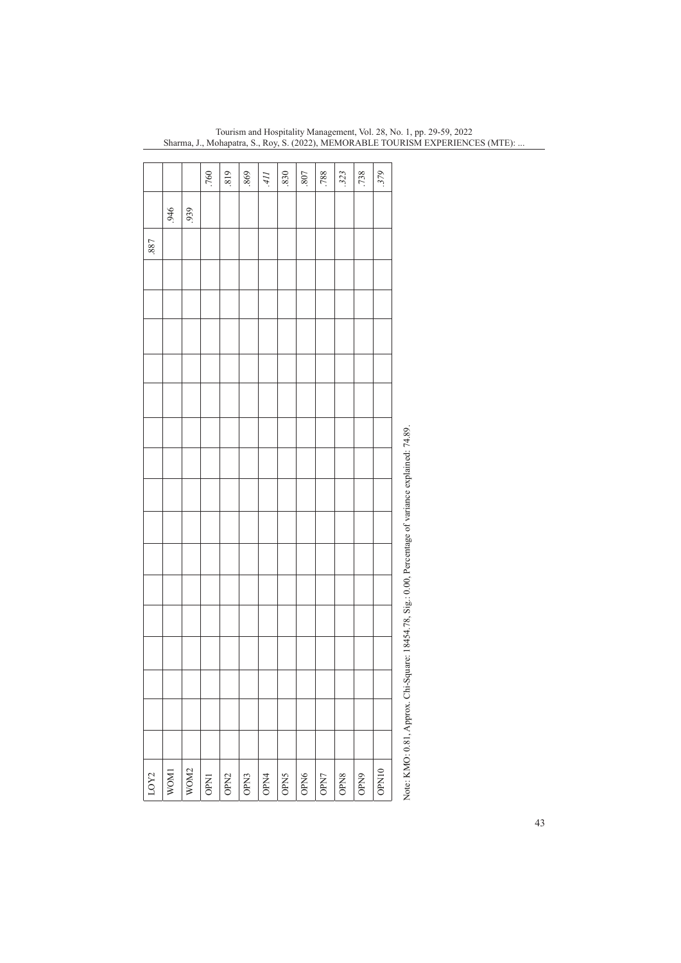|      |      |      | .760        | 819              | 869  | Иŕ   | 830  | 807  | .788 | 323  | .738 | 379   |                                                                                                     |
|------|------|------|-------------|------------------|------|------|------|------|------|------|------|-------|-----------------------------------------------------------------------------------------------------|
|      |      |      |             |                  |      |      |      |      |      |      |      |       |                                                                                                     |
|      | 946  | 939  |             |                  |      |      |      |      |      |      |      |       |                                                                                                     |
| .887 |      |      |             |                  |      |      |      |      |      |      |      |       |                                                                                                     |
|      |      |      |             |                  |      |      |      |      |      |      |      |       |                                                                                                     |
|      |      |      |             |                  |      |      |      |      |      |      |      |       |                                                                                                     |
|      |      |      |             |                  |      |      |      |      |      |      |      |       |                                                                                                     |
|      |      |      |             |                  |      |      |      |      |      |      |      |       |                                                                                                     |
|      |      |      |             |                  |      |      |      |      |      |      |      |       |                                                                                                     |
|      |      |      |             |                  |      |      |      |      |      |      |      |       |                                                                                                     |
|      |      |      |             |                  |      |      |      |      |      |      |      |       |                                                                                                     |
|      |      |      |             |                  |      |      |      |      |      |      |      |       |                                                                                                     |
|      |      |      |             |                  |      |      |      |      |      |      |      |       |                                                                                                     |
|      |      |      |             |                  |      |      |      |      |      |      |      |       |                                                                                                     |
|      |      |      |             |                  |      |      |      |      |      |      |      |       |                                                                                                     |
|      |      |      |             |                  |      |      |      |      |      |      |      |       |                                                                                                     |
|      |      |      |             |                  |      |      |      |      |      |      |      |       |                                                                                                     |
|      |      |      |             |                  |      |      |      |      |      |      |      |       |                                                                                                     |
|      |      |      |             |                  |      |      |      |      |      |      |      |       |                                                                                                     |
|      |      |      |             |                  |      |      |      |      |      |      |      |       |                                                                                                     |
|      |      |      |             |                  |      |      |      |      |      |      |      |       |                                                                                                     |
|      |      |      |             |                  |      |      |      |      |      |      |      |       |                                                                                                     |
|      |      |      |             |                  |      |      |      |      |      |      |      |       |                                                                                                     |
|      |      |      |             |                  |      |      |      |      |      |      |      |       |                                                                                                     |
| LOY2 | WOM1 | WOM2 | <b>OPN1</b> | OPN <sub>2</sub> | OPN3 | OPN4 | OPN5 | OPN6 | OPN7 | OPN8 | OPN9 | OPN10 | Note: KMO: 0.81, Approx. Chi-Square: 18454.78, Sig.: 0.00, Percentage of variance explained: 74.89. |

Tourism and Hospitality Management, Vol. 28, No. 1, pp. 29-59, 2022 Sharma, J., Mohapatra, S., Roy, S. (2022), MEMORABLE TOURISM EXPERIENCES (MTE): ...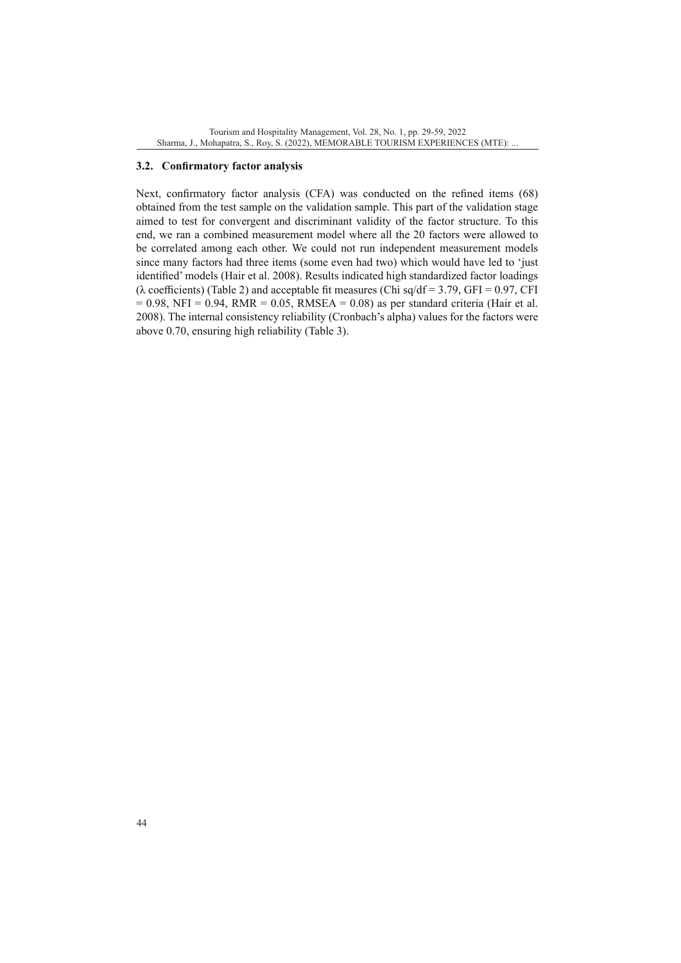#### **3.2. Confirmatory factor analysis**

Next, confirmatory factor analysis (CFA) was conducted on the refined items (68) obtained from the test sample on the validation sample. This part of the validation stage aimed to test for convergent and discriminant validity of the factor structure. To this end, we ran a combined measurement model where all the 20 factors were allowed to be correlated among each other. We could not run independent measurement models since many factors had three items (some even had two) which would have led to 'just identified' models (Hair et al. 2008). Results indicated high standardized factor loadings ( $\lambda$  coefficients) (Table 2) and acceptable fit measures (Chi sq/df = 3.79, GFI = 0.97, CFI  $= 0.98$ , NFI = 0.94, RMR = 0.05, RMSEA = 0.08) as per standard criteria (Hair et al. 2008). The internal consistency reliability (Cronbach's alpha) values for the factors were above 0.70, ensuring high reliability (Table 3).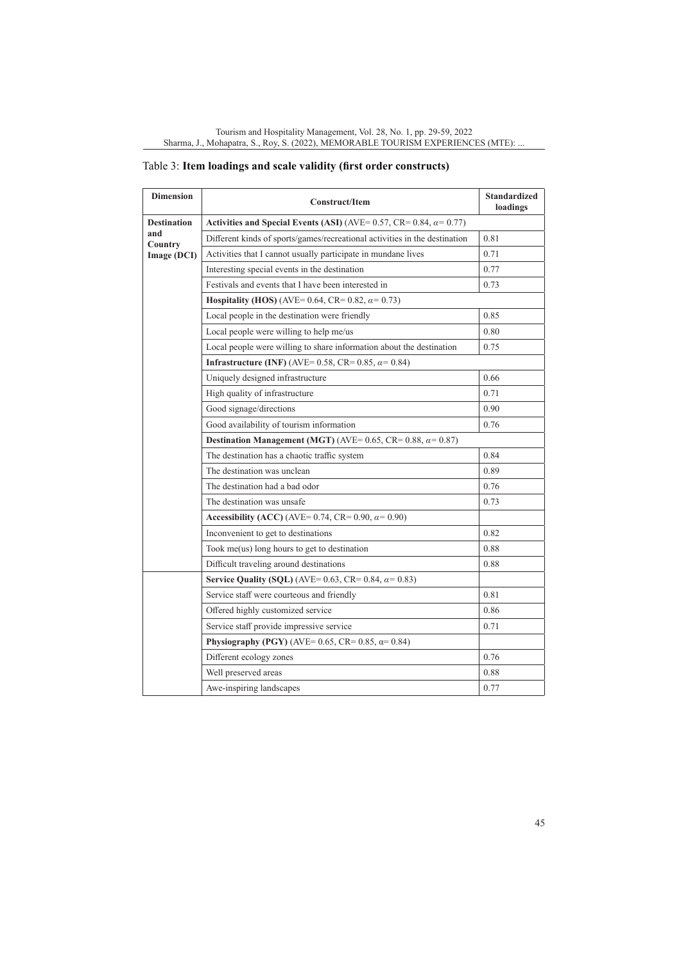| <b>Dimension</b>   | <b>Construct/Item</b>                                                      | <b>Standardized</b><br>loadings |
|--------------------|----------------------------------------------------------------------------|---------------------------------|
| <b>Destination</b> | Activities and Special Events (ASI) (AVE= 0.57, CR= 0.84, $\alpha$ = 0.77) |                                 |
| and<br>Country     | Different kinds of sports/games/recreational activities in the destination | 0.81                            |
| Image (DCI)        | Activities that I cannot usually participate in mundane lives              | 0.71                            |
|                    | Interesting special events in the destination                              | 0.77                            |
|                    | Festivals and events that I have been interested in                        | 0.73                            |
|                    | <b>Hospitality (HOS)</b> (AVE= 0.64, CR= 0.82, $\alpha$ = 0.73)            |                                 |
|                    | Local people in the destination were friendly                              | 0.85                            |
|                    | Local people were willing to help me/us                                    | 0.80                            |
|                    | Local people were willing to share information about the destination       | 0.75                            |
|                    | <b>Infrastructure (INF)</b> (AVE= 0.58, CR= 0.85, $\alpha$ = 0.84)         |                                 |
|                    | Uniquely designed infrastructure                                           | 0.66                            |
|                    | High quality of infrastructure                                             | 0.71                            |
|                    | Good signage/directions                                                    | 0.90                            |
|                    | Good availability of tourism information                                   | 0.76                            |
|                    | Destination Management (MGT) (AVE= 0.65, CR= 0.88, $\alpha$ = 0.87)        |                                 |
|                    | The destination has a chaotic traffic system                               | 0.84                            |
|                    | The destination was unclean                                                | 0.89                            |
|                    | The destination had a bad odor                                             | 0.76                            |
|                    | The destination was unsafe                                                 | 0.73                            |
|                    | Accessibility (ACC) (AVE= 0.74, CR= 0.90, $\alpha$ = 0.90)                 |                                 |
|                    | Inconvenient to get to destinations                                        | 0.82                            |
|                    | Took me(us) long hours to get to destination                               | 0.88                            |
|                    | Difficult traveling around destinations                                    | 0.88                            |
|                    | Service Quality (SQL) (AVE= 0.63, CR= 0.84, $\alpha$ = 0.83)               |                                 |
|                    | Service staff were courteous and friendly                                  | 0.81                            |
|                    | Offered highly customized service                                          | 0.86                            |
|                    | Service staff provide impressive service                                   | 0.71                            |
|                    | Physiography (PGY) (AVE= 0.65, CR= 0.85, $\alpha$ = 0.84)                  |                                 |
|                    | Different ecology zones                                                    | 0.76                            |
|                    | Well preserved areas                                                       | 0.88                            |
|                    | Awe-inspiring landscapes                                                   | 0.77                            |

|  |  |  |  | Table 3: Item loadings and scale validity (first order constructs) |  |
|--|--|--|--|--------------------------------------------------------------------|--|
|  |  |  |  |                                                                    |  |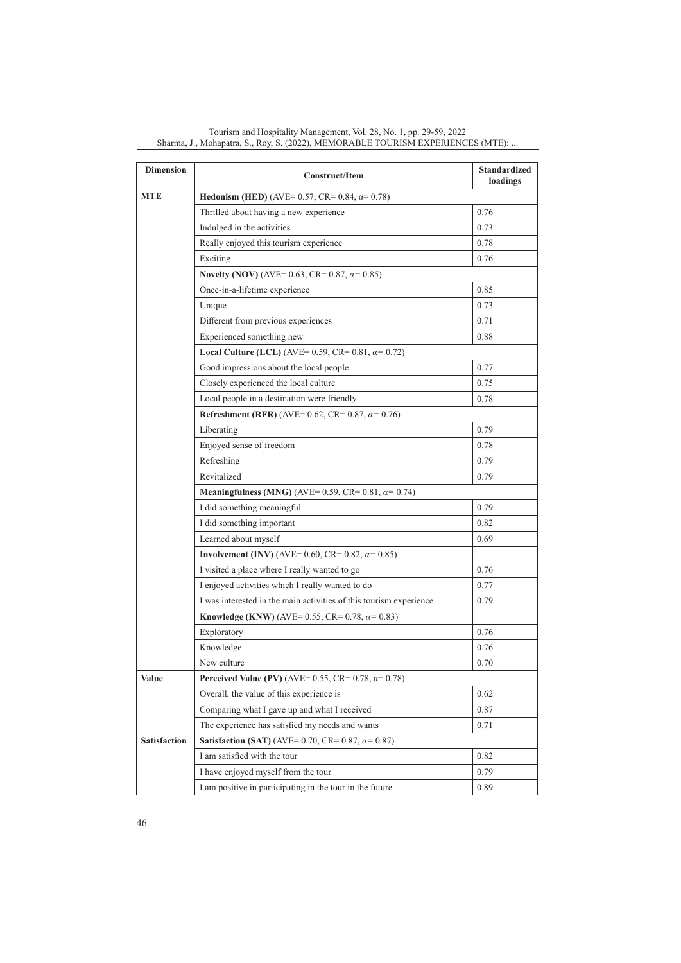| <b>Dimension</b>    | Construct/Item                                                     | <b>Standardized</b><br>loadings |
|---------------------|--------------------------------------------------------------------|---------------------------------|
| <b>MTE</b>          | <b>Hedonism (HED)</b> (AVE= 0.57, CR= 0.84, $\alpha$ = 0.78)       |                                 |
|                     | Thrilled about having a new experience                             | 0.76                            |
|                     | Indulged in the activities                                         | 0.73                            |
|                     | Really enjoyed this tourism experience                             | 0.78                            |
|                     | Exciting                                                           | 0.76                            |
|                     | Novelty (NOV) (AVE= 0.63, CR= 0.87, $\alpha$ = 0.85)               |                                 |
|                     | Once-in-a-lifetime experience                                      | 0.85                            |
|                     | Unique                                                             | 0.73                            |
|                     | Different from previous experiences                                | 0.71                            |
|                     | Experienced something new                                          | 0.88                            |
|                     | <b>Local Culture (LCL)</b> (AVE= 0.59, CR= 0.81, $\alpha$ = 0.72)  |                                 |
|                     | Good impressions about the local people                            | 0.77                            |
|                     | Closely experienced the local culture                              | 0.75                            |
|                     | Local people in a destination were friendly                        | 0.78                            |
|                     | Refreshment (RFR) (AVE= 0.62, CR= 0.87, $\alpha$ = 0.76)           |                                 |
|                     | Liberating                                                         | 0.79                            |
|                     | Enjoyed sense of freedom                                           | 0.78                            |
|                     | Refreshing                                                         | 0.79                            |
|                     | Revitalized                                                        | 0.79                            |
|                     | <b>Meaningfulness (MNG)</b> (AVE= 0.59, CR= 0.81, $\alpha$ = 0.74) |                                 |
|                     | I did something meaningful                                         | 0.79                            |
|                     | I did something important                                          | 0.82                            |
|                     | Learned about myself                                               | 0.69                            |
|                     | <b>Involvement (INV)</b> (AVE= 0.60, CR= 0.82, $\alpha$ = 0.85)    |                                 |
|                     | I visited a place where I really wanted to go                      | 0.76                            |
|                     | I enjoyed activities which I really wanted to do                   | 0.77                            |
|                     | I was interested in the main activities of this tourism experience | 0.79                            |
|                     | <b>Knowledge (KNW)</b> (AVE= 0.55, CR= 0.78, $\alpha$ = 0.83)      |                                 |
|                     | Exploratory                                                        | 0.76                            |
|                     | Knowledge                                                          | 0.76                            |
|                     | New culture                                                        | 0.70                            |
| Value               | Perceived Value (PV) (AVE= 0.55, CR= 0.78, $\alpha$ = 0.78)        |                                 |
|                     | Overall, the value of this experience is                           | 0.62                            |
|                     | Comparing what I gave up and what I received                       | 0.87                            |
|                     | The experience has satisfied my needs and wants                    | 0.71                            |
| <b>Satisfaction</b> | <b>Satisfaction (SAT)</b> (AVE= 0.70, CR= 0.87, $\alpha$ = 0.87)   |                                 |
|                     | I am satisfied with the tour                                       | 0.82                            |
|                     | I have enjoyed myself from the tour                                | 0.79                            |
|                     | I am positive in participating in the tour in the future           | 0.89                            |

Tourism and Hospitality Management, Vol. 28, No. 1, pp. 29-59, 2022 Sharma, J., Mohapatra, S., Roy, S. (2022), MEMORABLE TOURISM EXPERIENCES (MTE): ...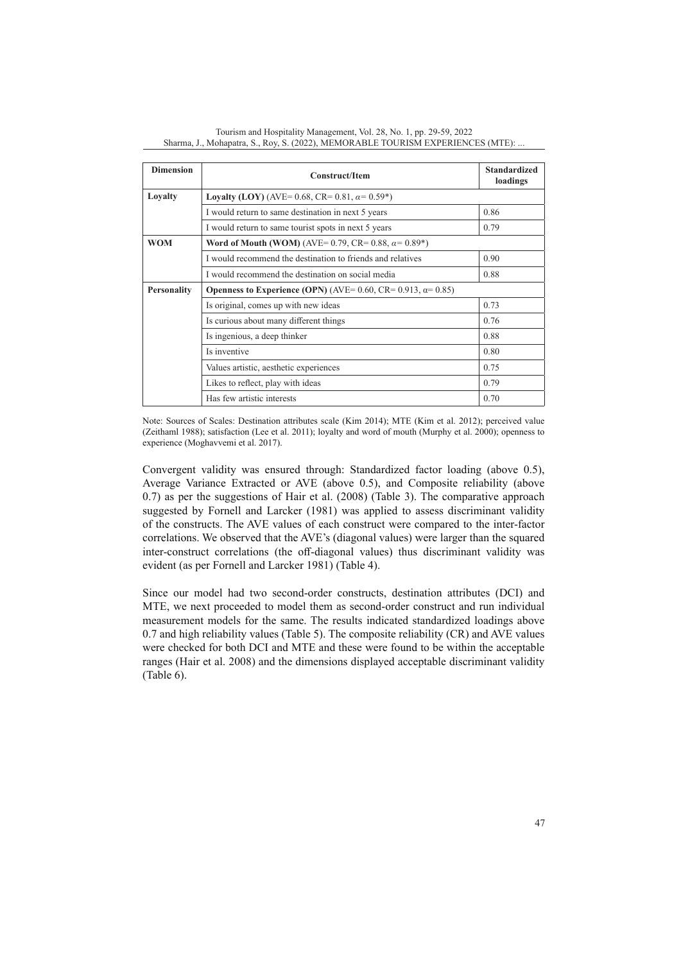| <b>Dimension</b>   | <b>Construct/Item</b>                                                       | <b>Standardized</b><br>loadings |
|--------------------|-----------------------------------------------------------------------------|---------------------------------|
| Loyalty            | <b>Lovalty (LOY)</b> (AVE= 0.68, CR= 0.81, $\alpha$ = 0.59 <sup>*</sup> )   |                                 |
|                    | I would return to same destination in next 5 years                          | 0.86                            |
|                    | I would return to same tourist spots in next 5 years                        | 0.79                            |
| <b>WOM</b>         | Word of Mouth (WOM) (AVE= 0.79, CR= 0.88, $\alpha$ = 0.89*)                 |                                 |
|                    | I would recommend the destination to friends and relatives                  | 0.90                            |
|                    | I would recommend the destination on social media                           | 0.88                            |
| <b>Personality</b> | <b>Openness to Experience (OPN)</b> (AVE= 0.60, CR= 0.913, $\alpha$ = 0.85) |                                 |
|                    | Is original, comes up with new ideas                                        | 0.73                            |
|                    | Is curious about many different things                                      | 0.76                            |
|                    | Is ingenious, a deep thinker                                                | 0.88                            |
|                    | Is inventive                                                                | 0.80                            |
|                    | Values artistic, aesthetic experiences                                      | 0.75                            |
|                    | Likes to reflect, play with ideas                                           | 0.79                            |
|                    | Has few artistic interests                                                  | 0.70                            |

Tourism and Hospitality Management, Vol. 28, No. 1, pp. 29-59, 2022 Sharma, J., Mohapatra, S., Roy, S. (2022), MEMORABLE TOURISM EXPERIENCES (MTE): ...

Note: Sources of Scales: Destination attributes scale (Kim 2014); MTE (Kim et al. 2012); perceived value (Zeithaml 1988); satisfaction (Lee et al. 2011); loyalty and word of mouth (Murphy et al. 2000); openness to experience (Moghavvemi et al. 2017).

Convergent validity was ensured through: Standardized factor loading (above 0.5), Average Variance Extracted or AVE (above 0.5), and Composite reliability (above 0.7) as per the suggestions of Hair et al. (2008) (Table 3). The comparative approach suggested by Fornell and Larcker (1981) was applied to assess discriminant validity of the constructs. The AVE values of each construct were compared to the inter-factor correlations. We observed that the AVE's (diagonal values) were larger than the squared inter-construct correlations (the off-diagonal values) thus discriminant validity was evident (as per Fornell and Larcker 1981) (Table 4).

Since our model had two second-order constructs, destination attributes (DCI) and MTE, we next proceeded to model them as second-order construct and run individual measurement models for the same. The results indicated standardized loadings above 0.7 and high reliability values (Table 5). The composite reliability (CR) and AVE values were checked for both DCI and MTE and these were found to be within the acceptable ranges (Hair et al. 2008) and the dimensions displayed acceptable discriminant validity (Table 6).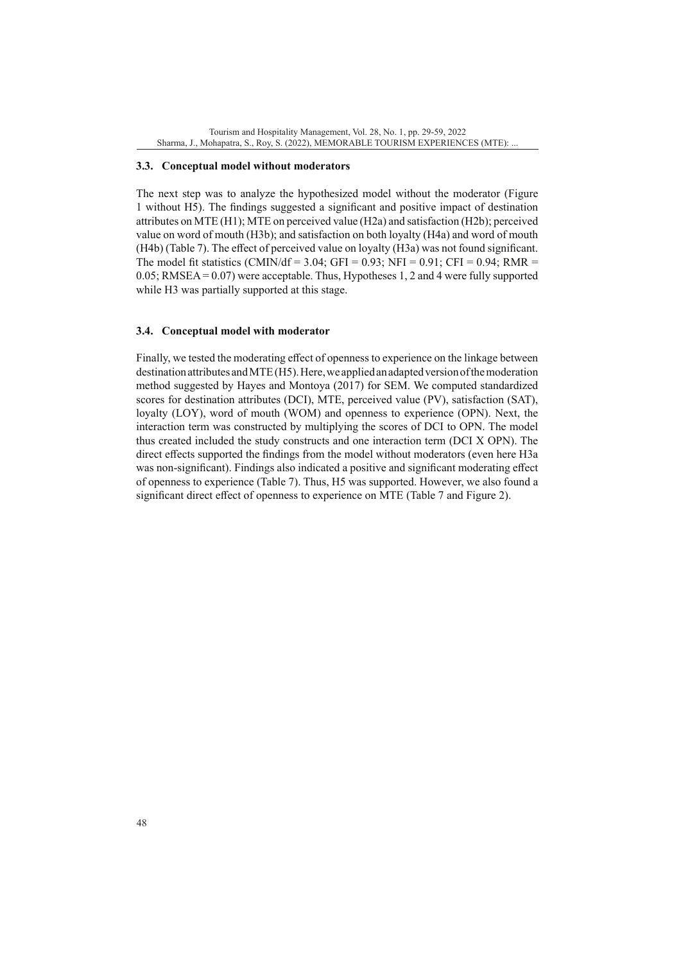#### **3.3. Conceptual model without moderators**

The next step was to analyze the hypothesized model without the moderator (Figure 1 without H5). The findings suggested a significant and positive impact of destination attributes on MTE (H1); MTE on perceived value (H2a) and satisfaction (H2b); perceived value on word of mouth (H3b); and satisfaction on both loyalty (H4a) and word of mouth (H4b) (Table 7). The effect of perceived value on loyalty (H3a) was not found significant. The model fit statistics (CMIN/df = 3.04; GFI = 0.93; NFI = 0.91; CFI = 0.94; RMR = 0.05; RMSEA = 0.07) were acceptable. Thus, Hypotheses 1, 2 and 4 were fully supported while H3 was partially supported at this stage.

## **3.4. Conceptual model with moderator**

Finally, we tested the moderating effect of openness to experience on the linkage between destination attributes and MTE (H5). Here, we applied an adapted version of the moderation method suggested by Hayes and Montoya (2017) for SEM. We computed standardized scores for destination attributes (DCI), MTE, perceived value (PV), satisfaction (SAT), loyalty (LOY), word of mouth (WOM) and openness to experience (OPN). Next, the interaction term was constructed by multiplying the scores of DCI to OPN. The model thus created included the study constructs and one interaction term (DCI X OPN). The direct effects supported the findings from the model without moderators (even here H3a was non-significant). Findings also indicated a positive and significant moderating effect of openness to experience (Table 7). Thus, H5 was supported. However, we also found a significant direct effect of openness to experience on MTE (Table 7 and Figure 2).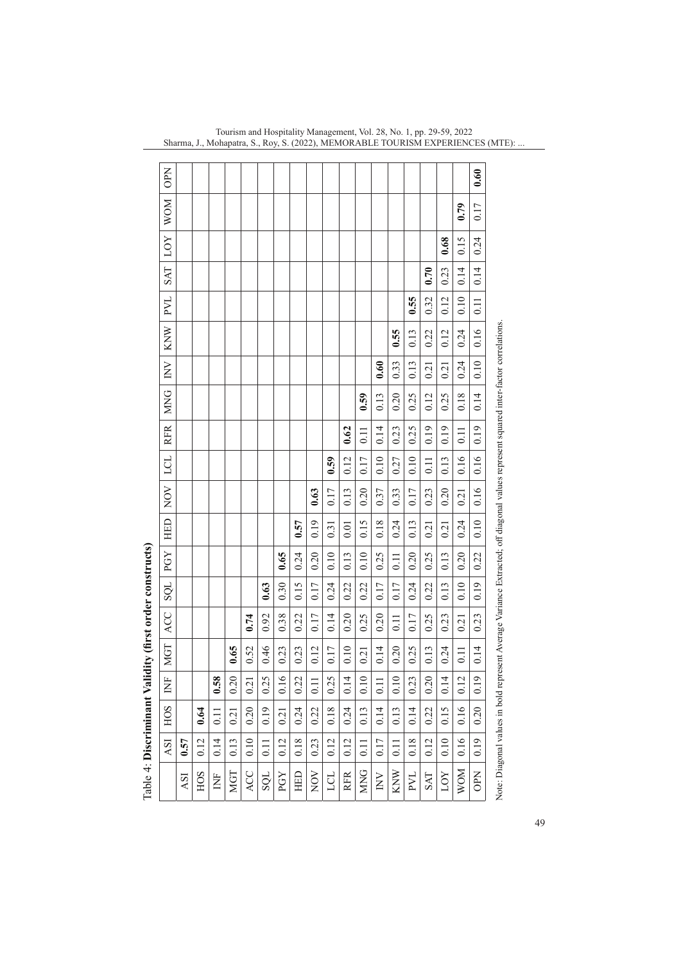|                                                         | <b>PN</b>  |      |      |                   |      |      |                   |      |      |       |      |            |                  |                  |      |            |                  |            |                   | 0.60       |                                                                                                                                      |
|---------------------------------------------------------|------------|------|------|-------------------|------|------|-------------------|------|------|-------|------|------------|------------------|------------------|------|------------|------------------|------------|-------------------|------------|--------------------------------------------------------------------------------------------------------------------------------------|
|                                                         | MOM        |      |      |                   |      |      |                   |      |      |       |      |            |                  |                  |      |            |                  |            | 0.79              | 0.17       |                                                                                                                                      |
|                                                         | <b>LOY</b> |      |      |                   |      |      |                   |      |      |       |      |            |                  |                  |      |            |                  | 0.68       | 0.15              | 0.24       |                                                                                                                                      |
|                                                         | <b>INS</b> |      |      |                   |      |      |                   |      |      |       |      |            |                  |                  |      |            | 0.70             | 0.23       | 0.14              | 0.14       |                                                                                                                                      |
|                                                         | <b>LVd</b> |      |      |                   |      |      |                   |      |      |       |      |            |                  |                  |      | 0.55       | 0.32             | 0.12       | 0.10              | 0.11       |                                                                                                                                      |
|                                                         | KNW        |      |      |                   |      |      |                   |      |      |       |      |            |                  |                  | 0.55 | 0.13       | 0.22             | 0.12       | 0.24              | 0.16       |                                                                                                                                      |
|                                                         | $\geq$     |      |      |                   |      |      |                   |      |      |       |      |            |                  | 0.60             | 0.33 | 0.13       | 0.21             | 0.21       | 0.24              | 0.10       |                                                                                                                                      |
|                                                         | <b>MNG</b> |      |      |                   |      |      |                   |      |      |       |      |            | 0.59             | 0.13             | 0.20 | 0.25       | 0.12             | 0.25       | 0.18              | 0.14       |                                                                                                                                      |
|                                                         | <b>RFR</b> |      |      |                   |      |      |                   |      |      |       |      | 0.62       | $\overline{0}$ . | 0.14             | 0.23 | 0.25       | 0.19             | 0.19       | 0.11              | 0.19       |                                                                                                                                      |
|                                                         | LCL        |      |      |                   |      |      |                   |      |      |       | 0.59 | 0.12       | 0.17             | 0.10             | 0.27 | 0.10       | $\overline{0}$ . | 0.13       | 0.16              | 0.16       |                                                                                                                                      |
|                                                         | NOV        |      |      |                   |      |      |                   |      |      | 0.63  | 0.17 | 0.13       | 0.20             | 0.37             | 0.33 | 0.17       | 0.23             | 0.20       | 0.21              | 0.16       |                                                                                                                                      |
|                                                         | HED        |      |      |                   |      |      |                   |      | 0.57 | 0.19  | 0.31 | 0.01       | 0.15             | 0.18             | 0.24 | 0.13       | 0.21             | 0.21       | 0.24              | 0.10       |                                                                                                                                      |
|                                                         | PGY        |      |      |                   |      |      |                   | 0.65 | 0.24 | 0.20  | 0.10 | 0.13       | 0.10             | 0.25             | 0.11 | 0.20       | 0.25             | 0.13       | 0.20              | 0.22       |                                                                                                                                      |
|                                                         | <b>SQL</b> |      |      |                   |      |      | 0.63              | 0.30 | 0.15 | 0.17  | 0.24 | 0.22       | 0.22             | 0.17             | 0.17 | 0.24       | 0.22             | 0.13       | 0.10              | 0.19       |                                                                                                                                      |
|                                                         | ACC        |      |      |                   |      | 0.74 | 0.92              | 0.38 | 0.22 | 0.17  | 0.14 | 0.20       | 0.25             | 0.20             | 0.11 | 0.17       | 0.25             | 0.23       | 0.21              | 0.23       |                                                                                                                                      |
|                                                         | <b>MGT</b> |      |      |                   | 0.65 | 0.52 | 0.46              | 0.23 | 0.23 | 0.12  | 0.17 | 0.10       | 0.21             | 0.14             | 0.20 | 0.25       | 0.13             | 0.24       | $\overline{0.11}$ | 0.14       |                                                                                                                                      |
|                                                         | Ž          |      |      | 0.58              | 0.20 | 0.21 | 0.25              | 0.16 | 0.22 | $\Xi$ | 0.25 | 0.14       | 0.10             | $\overline{0}$ . | 0.10 | 0.23       | 0.20             | 0.14       | 0.12              | 0.19       |                                                                                                                                      |
|                                                         | <b>HOS</b> |      | 0.64 | $\overline{0.11}$ | 0.21 | 0.20 | 0.19              | 0.21 | 0.24 | 0.22  | 0.18 | 0.24       | 0.13             | 0.14             | 0.13 | 0.14       | 0.22             | 0.15       | 0.16              | 0.20       |                                                                                                                                      |
|                                                         | ASI        | 0.57 | 0.12 | 0.14              | 0.13 | 0.10 | $\overline{0.11}$ | 0.12 | 0.18 | 0.23  | 0.12 | 0.12       | $\Xi$            | 0.17             | 0.11 | 0.18       | 0.12             | 0.10       | 0.16              | 0.19       |                                                                                                                                      |
| Table 4: Discriminant Validity (first order constructs) |            | kSI  | HOS  | Ë                 | MGT  | ACC  | <b>TÒS</b>        | PGY  | HED  | NOV   | LCL  | <b>RFR</b> | <b>MNG</b>       | $\geq$           | KNW  | <b>LVd</b> | <b>INS</b>       | <b>LOY</b> | <b>MOM</b>        | <b>OPN</b> | Note: Diagonal values in bold represent Average Variance Extracted; off diagonal values represent squared inter-factor correlations. |

| j                                                                                   |
|-------------------------------------------------------------------------------------|
|                                                                                     |
|                                                                                     |
|                                                                                     |
|                                                                                     |
| ֧֧֛֚֓֕֜֜<br>l                                                                       |
| ֖֖֖֖֖֖֪֪֪֖֖֖֖֖֖֖֖֖֖֖֖֧֖֖֧֧֪֪֪֪֪֪֪֪֪֪֪֪֪֪֪֪֚֚֚֚֚֚֚֚֚֚֚֚֚֚֚֚֚֚֚֚֚֚֚֚֚֚֚֚֞֬֬֓֓֝֓֝֓֝֓֞֓ |
|                                                                                     |
|                                                                                     |
| is a series of the control.                                                         |
| ١                                                                                   |
|                                                                                     |
|                                                                                     |
| ֧֧֦֧֦֧֦֧֦֧֦֧֦֧֦֧֦֧֦֧֦֧֦֧֦֧֚֓֝֬֓֓֝                                                   |
|                                                                                     |
| í                                                                                   |
| į                                                                                   |
|                                                                                     |
| i                                                                                   |
|                                                                                     |
|                                                                                     |
|                                                                                     |
| ĺ                                                                                   |
|                                                                                     |
|                                                                                     |
|                                                                                     |
|                                                                                     |
| $\frac{1}{2}$                                                                       |
|                                                                                     |
| É<br>í                                                                              |
|                                                                                     |

Tourism and Hospitality Management, Vol. 28, No. 1, pp. 29-59, 2022 Sharma, J., Mohapatra, S., Roy, S. (2022), MEMORABLE TOURISM EXPERIENCES (MTE): ...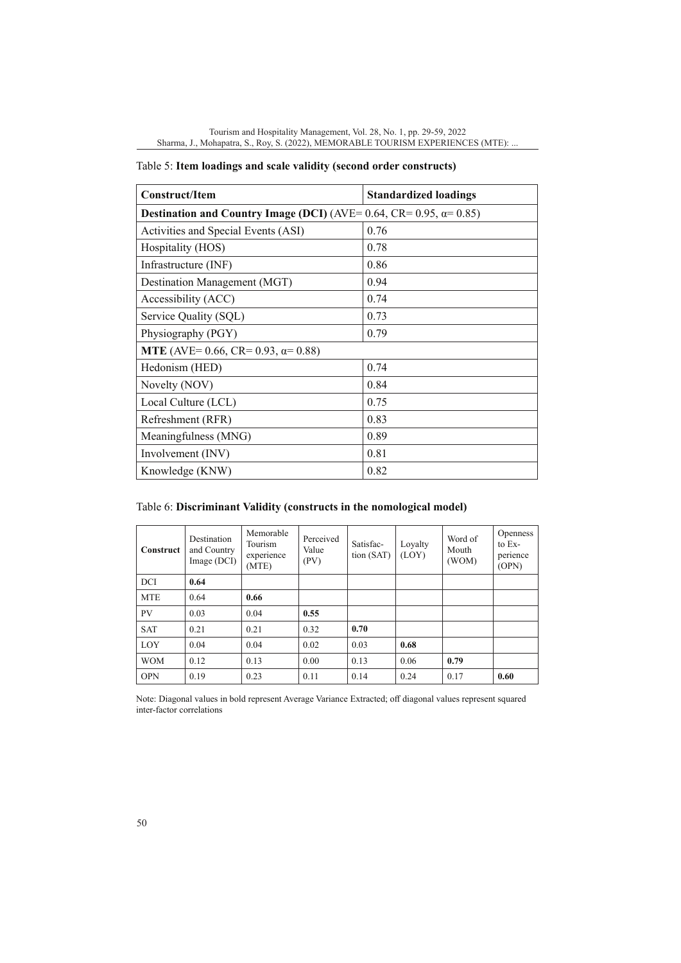|  |  | Table 5: Item loadings and scale validity (second order constructs) |
|--|--|---------------------------------------------------------------------|
|  |  |                                                                     |

| <b>Construct/Item</b>                                                      | <b>Standardized loadings</b> |  |  |  |  |  |
|----------------------------------------------------------------------------|------------------------------|--|--|--|--|--|
| Destination and Country Image (DCI) (AVE= 0.64, CR= 0.95, $\alpha$ = 0.85) |                              |  |  |  |  |  |
| Activities and Special Events (ASI)                                        | 0.76                         |  |  |  |  |  |
| Hospitality (HOS)                                                          | 0.78                         |  |  |  |  |  |
| Infrastructure (INF)                                                       | 0.86                         |  |  |  |  |  |
| Destination Management (MGT)                                               | 0.94                         |  |  |  |  |  |
| Accessibility (ACC)                                                        | 0.74                         |  |  |  |  |  |
| Service Quality (SQL)                                                      | 0.73                         |  |  |  |  |  |
| Physiography (PGY)                                                         | 0.79                         |  |  |  |  |  |
| <b>MTE</b> (AVE= 0.66, CR= 0.93, $\alpha$ = 0.88)                          |                              |  |  |  |  |  |
| Hedonism (HED)                                                             | 0.74                         |  |  |  |  |  |
| Novelty (NOV)                                                              | 0.84                         |  |  |  |  |  |
| Local Culture (LCL)                                                        | 0.75                         |  |  |  |  |  |
| Refreshment (RFR)                                                          | 0.83                         |  |  |  |  |  |
| Meaningfulness (MNG)                                                       | 0.89                         |  |  |  |  |  |
| Involvement (INV)                                                          | 0.81                         |  |  |  |  |  |
| Knowledge (KNW)                                                            | 0.82                         |  |  |  |  |  |

Table 6: **Discriminant Validity (constructs in the nomological model)**

| Construct  | Destination<br>and Country<br>Image (DCI) | Memorable<br>Tourism<br>experience<br>(MTE) | Perceived<br>Value<br>(PV) | Satisfac-<br>tion (SAT) | Loyalty<br>(LOY) | Word of<br>Mouth<br>(WOM) | <b>Openness</b><br>to Ex-<br>perience<br>(OPN) |
|------------|-------------------------------------------|---------------------------------------------|----------------------------|-------------------------|------------------|---------------------------|------------------------------------------------|
| DCI        | 0.64                                      |                                             |                            |                         |                  |                           |                                                |
| <b>MTE</b> | 0.64                                      | 0.66                                        |                            |                         |                  |                           |                                                |
| <b>PV</b>  | 0.03                                      | 0.04                                        | 0.55                       |                         |                  |                           |                                                |
| <b>SAT</b> | 0.21                                      | 0.21                                        | 0.32                       | 0.70                    |                  |                           |                                                |
| LOY        | 0.04                                      | 0.04                                        | 0.02                       | 0.03                    | 0.68             |                           |                                                |
| <b>WOM</b> | 0.12                                      | 0.13                                        | 0.00                       | 0.13                    | 0.06             | 0.79                      |                                                |
| <b>OPN</b> | 0.19                                      | 0.23                                        | 0.11                       | 0.14                    | 0.24             | 0.17                      | 0.60                                           |

Note: Diagonal values in bold represent Average Variance Extracted; off diagonal values represent squared inter-factor correlations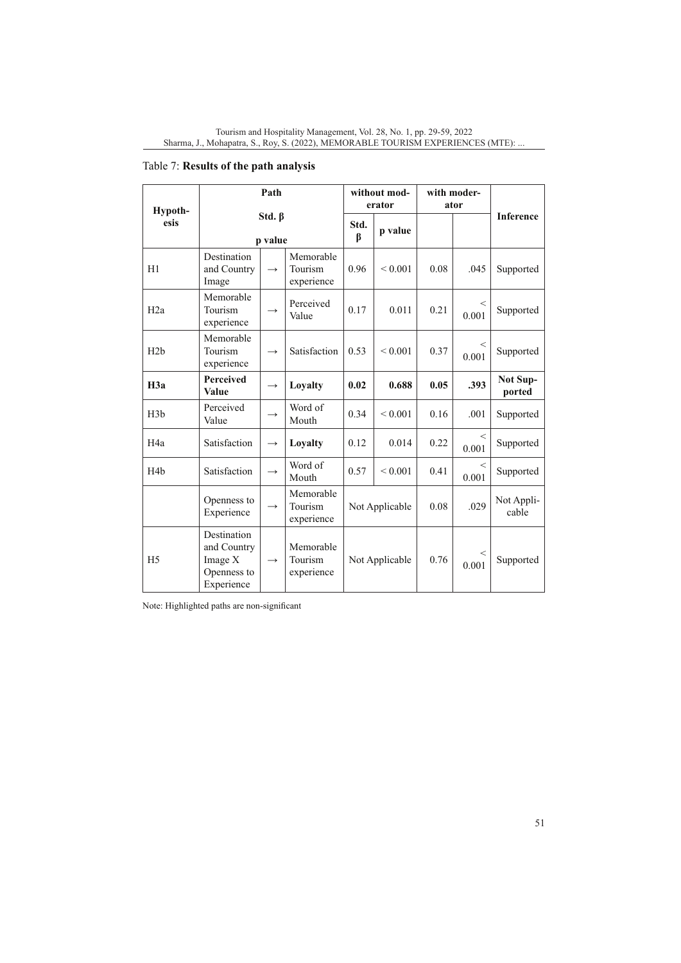| Hypoth-          | Path<br>Std. $\beta$<br>p value                                    |               |                                    | without mod-<br>erator |              | with moder-<br>ator |                |                           |
|------------------|--------------------------------------------------------------------|---------------|------------------------------------|------------------------|--------------|---------------------|----------------|---------------------------|
| esis             |                                                                    |               |                                    | Std.<br>β              | p value      |                     |                | <b>Inference</b>          |
| H1               | Destination<br>and Country<br>Image                                | $\rightarrow$ | Memorable<br>Tourism<br>experience | 0.96                   | < 0.001      | 0.08                | .045           | Supported                 |
| H <sub>2</sub> a | Memorable<br>Tourism<br>experience                                 | $\rightarrow$ | Perceived<br>Value                 | 0.17                   | 0.011        | 0.21                | $\,<$<br>0.001 | Supported                 |
| H2b              | Memorable<br>Tourism<br>experience                                 | $\rightarrow$ | Satisfaction                       | 0.53                   | ${}_{0.001}$ | 0.37                | $\,<$<br>0.001 | Supported                 |
| H <sub>3a</sub>  | Perceived<br>Value                                                 | $\rightarrow$ | Loyalty                            | 0.02                   | 0.688        | 0.05                | .393           | <b>Not Sup-</b><br>ported |
| H <sub>3</sub> b | Perceived<br>Value                                                 | $\rightarrow$ | Word of<br>Mouth                   | 0.34                   | ${}_{0.001}$ | 0.16                | .001           | Supported                 |
| H <sub>4</sub> a | Satisfaction                                                       | $\rightarrow$ | Loyalty                            | 0.12                   | 0.014        | 0.22                | <<br>0.001     | Supported                 |
| H <sub>4</sub> b | Satisfaction                                                       | $\rightarrow$ | Word of<br>Mouth                   | 0.57                   | ${}_{0.001}$ | 0.41                | $\,<$<br>0.001 | Supported                 |
|                  | Openness to<br>Experience                                          | $\rightarrow$ | Memorable<br>Tourism<br>experience | Not Applicable         |              | 0.08                | .029           | Not Appli-<br>cable       |
| H <sub>5</sub>   | Destination<br>and Country<br>Image X<br>Openness to<br>Experience | $\rightarrow$ | Memorable<br>Tourism<br>experience | Not Applicable         |              | 0.76                | $\,<$<br>0.001 | Supported                 |

# Table 7: **Results of the path analysis**

Note: Highlighted paths are non-significant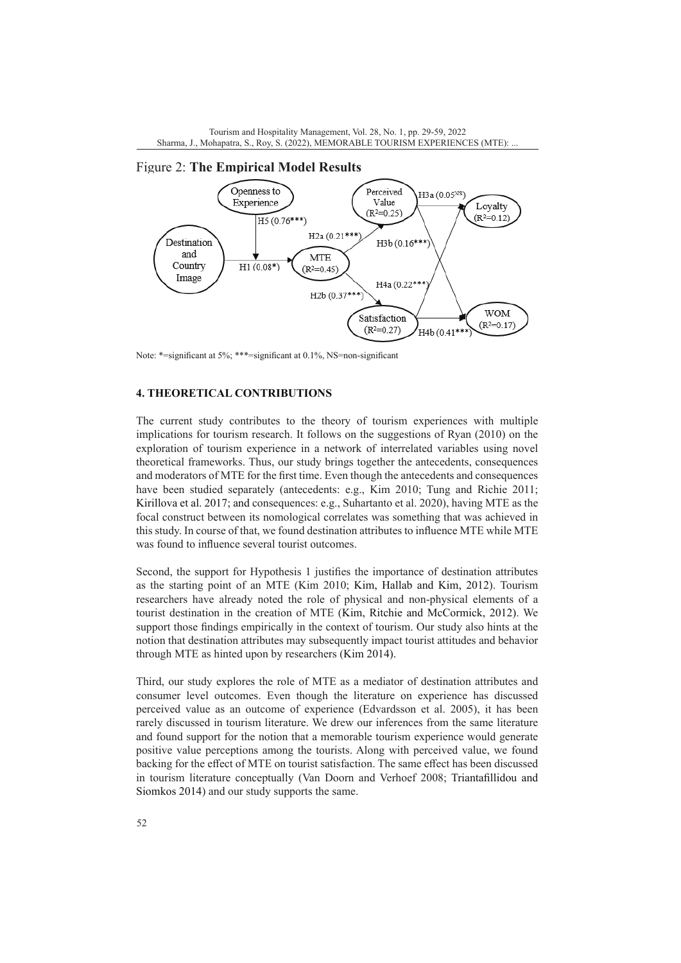



Figure 2: **The Empirical Model Results**

Note: \*=significant at 5%; \*\*\*=significant at 0.1%, NS=non-significant

## **4. THEORETICAL CONTRIBUTIONS**

The current study contributes to the theory of tourism experiences with multiple implications for tourism research. It follows on the suggestions of Ryan (2010) on the exploration of tourism experience in a network of interrelated variables using novel theoretical frameworks. Thus, our study brings together the antecedents, consequences and moderators of MTE for the first time. Even though the antecedents and consequences have been studied separately (antecedents: e.g., Kim 2010; Tung and Richie 2011; Kirillova et al. 2017; and consequences: e.g., Suhartanto et al. 2020), having MTE as the focal construct between its nomological correlates was something that was achieved in this study. In course of that, we found destination attributes to influence MTE while MTE was found to influence several tourist outcomes.

Second, the support for Hypothesis 1 justifies the importance of destination attributes as the starting point of an MTE (Kim 2010; Kim, Hallab and Kim, 2012). Tourism researchers have already noted the role of physical and non-physical elements of a tourist destination in the creation of MTE (Kim, Ritchie and McCormick, 2012). We support those findings empirically in the context of tourism. Our study also hints at the notion that destination attributes may subsequently impact tourist attitudes and behavior through MTE as hinted upon by researchers (Kim 2014).

Third, our study explores the role of MTE as a mediator of destination attributes and consumer level outcomes. Even though the literature on experience has discussed perceived value as an outcome of experience (Edvardsson et al. 2005), it has been rarely discussed in tourism literature. We drew our inferences from the same literature and found support for the notion that a memorable tourism experience would generate positive value perceptions among the tourists. Along with perceived value, we found backing for the effect of MTE on tourist satisfaction. The same effect has been discussed in tourism literature conceptually (Van Doorn and Verhoef 2008; Triantafillidou and Siomkos 2014) and our study supports the same.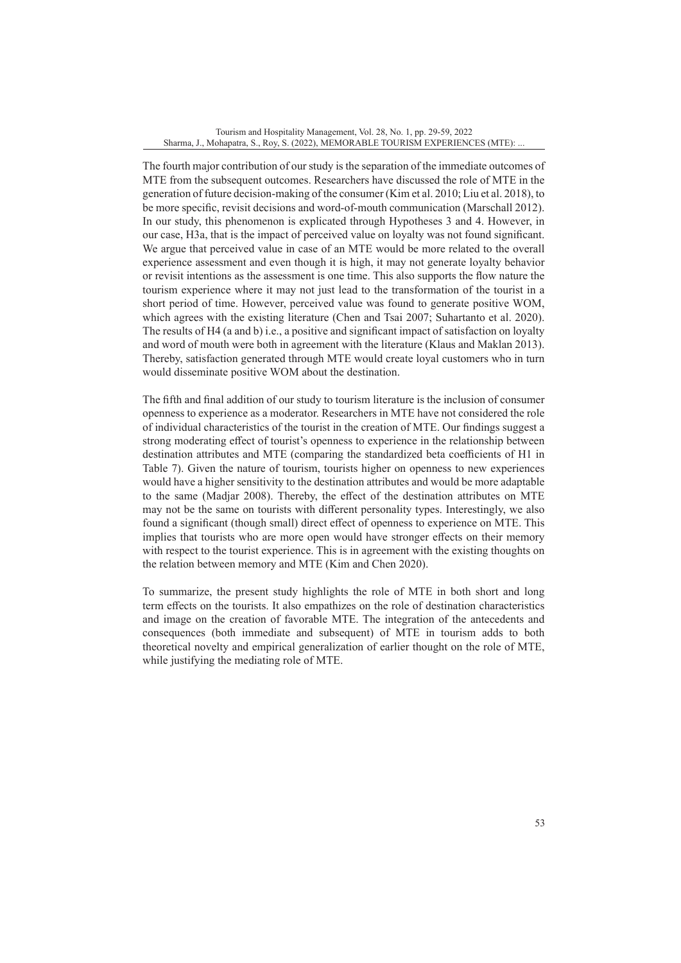The fourth major contribution of our study is the separation of the immediate outcomes of MTE from the subsequent outcomes. Researchers have discussed the role of MTE in the generation of future decision-making of the consumer (Kim et al. 2010; Liu et al. 2018), to be more specific, revisit decisions and word-of-mouth communication (Marschall 2012). In our study, this phenomenon is explicated through Hypotheses 3 and 4. However, in our case, H3a, that is the impact of perceived value on loyalty was not found significant. We argue that perceived value in case of an MTE would be more related to the overall experience assessment and even though it is high, it may not generate loyalty behavior or revisit intentions as the assessment is one time. This also supports the flow nature the tourism experience where it may not just lead to the transformation of the tourist in a short period of time. However, perceived value was found to generate positive WOM, which agrees with the existing literature (Chen and Tsai 2007; Suhartanto et al. 2020). The results of H4 (a and b) i.e., a positive and significant impact of satisfaction on loyalty and word of mouth were both in agreement with the literature (Klaus and Maklan 2013). Thereby, satisfaction generated through MTE would create loyal customers who in turn would disseminate positive WOM about the destination.

The fifth and final addition of our study to tourism literature is the inclusion of consumer openness to experience as a moderator. Researchers in MTE have not considered the role of individual characteristics of the tourist in the creation of MTE. Our findings suggest a strong moderating effect of tourist's openness to experience in the relationship between destination attributes and MTE (comparing the standardized beta coefficients of H1 in Table 7). Given the nature of tourism, tourists higher on openness to new experiences would have a higher sensitivity to the destination attributes and would be more adaptable to the same (Madjar 2008). Thereby, the effect of the destination attributes on MTE may not be the same on tourists with different personality types. Interestingly, we also found a significant (though small) direct effect of openness to experience on MTE. This implies that tourists who are more open would have stronger effects on their memory with respect to the tourist experience. This is in agreement with the existing thoughts on the relation between memory and MTE (Kim and Chen 2020).

To summarize, the present study highlights the role of MTE in both short and long term effects on the tourists. It also empathizes on the role of destination characteristics and image on the creation of favorable MTE. The integration of the antecedents and consequences (both immediate and subsequent) of MTE in tourism adds to both theoretical novelty and empirical generalization of earlier thought on the role of MTE, while justifying the mediating role of MTE.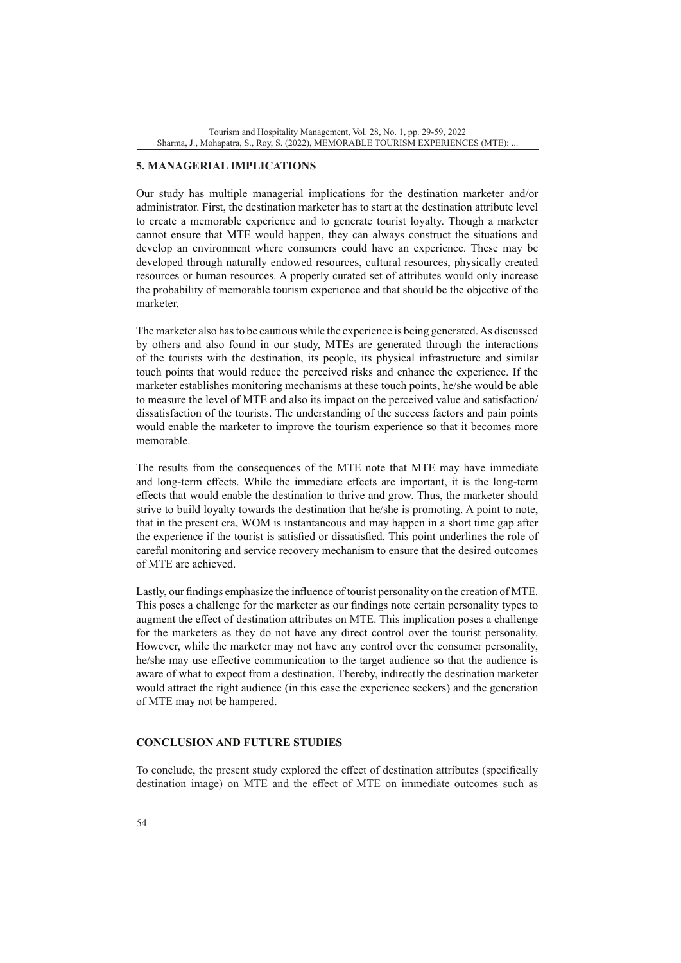### **5. MANAGERIAL IMPLICATIONS**

Our study has multiple managerial implications for the destination marketer and/or administrator. First, the destination marketer has to start at the destination attribute level to create a memorable experience and to generate tourist loyalty. Though a marketer cannot ensure that MTE would happen, they can always construct the situations and develop an environment where consumers could have an experience. These may be developed through naturally endowed resources, cultural resources, physically created resources or human resources. A properly curated set of attributes would only increase the probability of memorable tourism experience and that should be the objective of the marketer.

The marketer also has to be cautious while the experience is being generated. As discussed by others and also found in our study, MTEs are generated through the interactions of the tourists with the destination, its people, its physical infrastructure and similar touch points that would reduce the perceived risks and enhance the experience. If the marketer establishes monitoring mechanisms at these touch points, he/she would be able to measure the level of MTE and also its impact on the perceived value and satisfaction/ dissatisfaction of the tourists. The understanding of the success factors and pain points would enable the marketer to improve the tourism experience so that it becomes more memorable.

The results from the consequences of the MTE note that MTE may have immediate and long-term effects. While the immediate effects are important, it is the long-term effects that would enable the destination to thrive and grow. Thus, the marketer should strive to build loyalty towards the destination that he/she is promoting. A point to note, that in the present era, WOM is instantaneous and may happen in a short time gap after the experience if the tourist is satisfied or dissatisfied. This point underlines the role of careful monitoring and service recovery mechanism to ensure that the desired outcomes of MTE are achieved.

Lastly, our findings emphasize the influence of tourist personality on the creation of MTE. This poses a challenge for the marketer as our findings note certain personality types to augment the effect of destination attributes on MTE. This implication poses a challenge for the marketers as they do not have any direct control over the tourist personality. However, while the marketer may not have any control over the consumer personality, he/she may use effective communication to the target audience so that the audience is aware of what to expect from a destination. Thereby, indirectly the destination marketer would attract the right audience (in this case the experience seekers) and the generation of MTE may not be hampered.

## **CONCLUSION AND FUTURE STUDIES**

To conclude, the present study explored the effect of destination attributes (specifically destination image) on MTE and the effect of MTE on immediate outcomes such as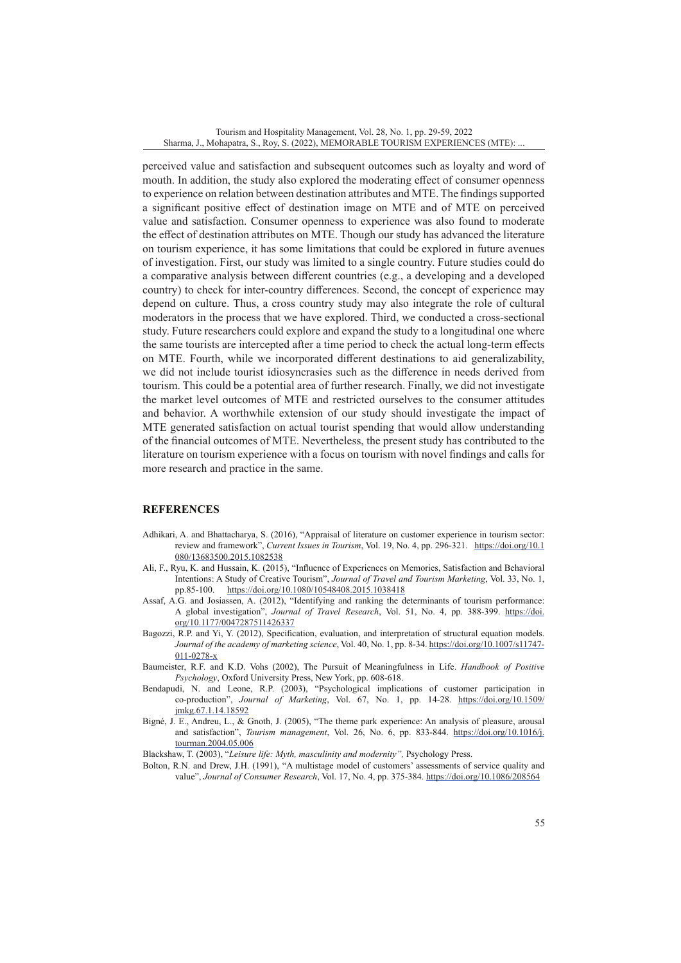perceived value and satisfaction and subsequent outcomes such as loyalty and word of mouth. In addition, the study also explored the moderating effect of consumer openness to experience on relation between destination attributes and MTE. The findings supported a significant positive effect of destination image on MTE and of MTE on perceived value and satisfaction. Consumer openness to experience was also found to moderate the effect of destination attributes on MTE. Though our study has advanced the literature on tourism experience, it has some limitations that could be explored in future avenues of investigation. First, our study was limited to a single country. Future studies could do a comparative analysis between different countries (e.g., a developing and a developed country) to check for inter-country differences. Second, the concept of experience may depend on culture. Thus, a cross country study may also integrate the role of cultural moderators in the process that we have explored. Third, we conducted a cross-sectional study. Future researchers could explore and expand the study to a longitudinal one where the same tourists are intercepted after a time period to check the actual long-term effects on MTE. Fourth, while we incorporated different destinations to aid generalizability, we did not include tourist idiosyncrasies such as the difference in needs derived from tourism. This could be a potential area of further research. Finally, we did not investigate the market level outcomes of MTE and restricted ourselves to the consumer attitudes and behavior. A worthwhile extension of our study should investigate the impact of MTE generated satisfaction on actual tourist spending that would allow understanding of the financial outcomes of MTE. Nevertheless, the present study has contributed to the literature on tourism experience with a focus on tourism with novel findings and calls for more research and practice in the same.

### **REFERENCES**

- Adhikari, A. and Bhattacharya, S. (2016), "Appraisal of literature on customer experience in tourism sector: review and framework", *Current Issues in Tourism*, Vol. 19, No. 4, pp. 296-321. [https://doi.org/10.1](https://doi.org/10.1080/13683500.2015.1082538) [080/13683500.2015.1082538](https://doi.org/10.1080/13683500.2015.1082538)
- Ali, F., Ryu, K. and Hussain, K. (2015), "Influence of Experiences on Memories, Satisfaction and Behavioral Intentions: A Study of Creative Tourism", *Journal of Travel and Tourism Marketing*, Vol. 33, No. 1, pp.85-100. <https://doi.org/10.1080/10548408.2015.1038418>
- Assaf, A.G. and Josiassen, A. (2012), "Identifying and ranking the determinants of tourism performance: A global investigation", *Journal of Travel Research*, Vol. 51, No. 4, pp. 388-399. [https://doi.](https://doi.org/10.1177%2F0047287511426337) [org/10.1177/0047287511426337](https://doi.org/10.1177%2F0047287511426337)
- Bagozzi, R.P. and Yi, Y. (2012), Specification, evaluation, and interpretation of structural equation models. *Journal of the academy of marketing science*, Vol. 40, No. 1, pp. 8-34. [https://doi.org/10.1007/s11747-](https://doi.org/10.1007/s11747-011-0278-x) [011-0278-x](https://doi.org/10.1007/s11747-011-0278-x)
- Baumeister, R.F. and K.D. Vohs (2002), The Pursuit of Meaningfulness in Life. *Handbook of Positive Psychology*, Oxford University Press, New York, pp. 608-618.
- Bendapudi, N. and Leone, R.P. (2003), "Psychological implications of customer participation in co-production", *Journal of Marketing*, Vol. 67, No. 1, pp. 14-28. [https://doi.org/10.1509/](https://doi.org/10.1509%2Fjmkg.67.1.14.18592) [jmkg.67.1.14.18592](https://doi.org/10.1509%2Fjmkg.67.1.14.18592)
- Bigné, J. E., Andreu, L., & Gnoth, J. (2005), "The theme park experience: An analysis of pleasure, arousal and satisfaction", *Tourism management*, Vol. 26, No. 6, pp. 833-844. [https://doi.org/10.1016/j.](https://doi.org/10.1016/j.tourman.2004.05.006) [tourman.2004.05.006](https://doi.org/10.1016/j.tourman.2004.05.006)
- Blackshaw, T. (2003), "*Leisure life: Myth, masculinity and modernity",* Psychology Press.
- Bolton, R.N. and Drew, J.H. (1991), "A multistage model of customers' assessments of service quality and value", *Journal of Consumer Research*, Vol. 17, No. 4, pp. 375-384. <https://doi.org/10.1086/208564>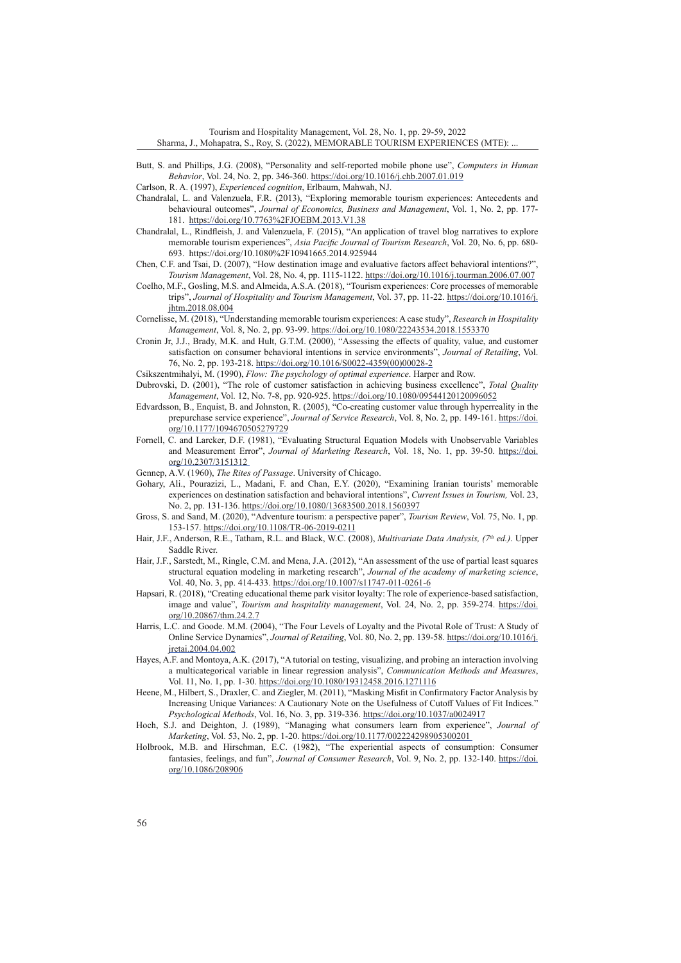- Butt, S. and Phillips, J.G. (2008), "Personality and self-reported mobile phone use", *Computers in Human Behavior*, Vol. 24, No. 2, pp. 346-360. <https://doi.org/10.1016/j.chb.2007.01.019>
- Carlson, R. A. (1997), *Experienced cognition*, Erlbaum, Mahwah, NJ.
- Chandralal, L. and Valenzuela, F.R. (2013), "Exploring memorable tourism experiences: Antecedents and behavioural outcomes", *Journal of Economics, Business and Management*, Vol. 1, No. 2, pp. 177- 181. <https://doi.org/10.7763%2FJOEBM.2013.V1.38>
- Chandralal, L., Rindfleish, J. and Valenzuela, F. (2015), "An application of travel blog narratives to explore memorable tourism experiences", *Asia Pacific Journal of Tourism Research*, Vol. 20, No. 6, pp. 680- 693. https://doi.org/10.1080%2F10941665.2014.925944
- Chen, C.F. and Tsai, D. (2007), "How destination image and evaluative factors affect behavioral intentions?", *Tourism Management*, Vol. 28, No. 4, pp. 1115-1122. <https://doi.org/10.1016/j.tourman.2006.07.007>
- Coelho, M.F., Gosling, M.S. and Almeida, A.S.A. (2018), "Tourism experiences: Core processes of memorable trips", *Journal of Hospitality and Tourism Management*, Vol. 37, pp. 11-22. [https://doi.org/10.1016/j.](https://doi.org/10.1016/j.jhtm.2018.08.004) [jhtm.2018.08.004](https://doi.org/10.1016/j.jhtm.2018.08.004)
- Cornelisse, M. (2018), "Understanding memorable tourism experiences: A case study", *Research in Hospitality Management*, Vol. 8, No. 2, pp. 93-99. <https://doi.org/10.1080/22243534.2018.1553370>
- Cronin Jr, J.J., Brady, M.K. and Hult, G.T.M. (2000), "Assessing the effects of quality, value, and customer satisfaction on consumer behavioral intentions in service environments", *Journal of Retailing*, Vol. 76, No. 2, pp. 193-218. [https://doi.org/10.1016/S0022-4359\(00\)00028-2](https://doi.org/10.1016/S0022-4359(00)00028-2)
- Csikszentmihalyi, M. (1990), *Flow: The psychology of optimal experience*. Harper and Row.
- Dubrovski, D. (2001), "The role of customer satisfaction in achieving business excellence", *Total Quality Management*, Vol. 12, No. 7-8, pp. 920-925. <https://doi.org/10.1080/09544120120096052>
- Edvardsson, B., Enquist, B. and Johnston, R. (2005), "Co-creating customer value through hyperreality in the prepurchase service experience", *Journal of Service Research*, Vol. 8, No. 2, pp. 149-161. [https://doi.](https://doi.org/10.1177/1094670505279729) [org/10.1177/1094670505279729](https://doi.org/10.1177/1094670505279729)
- Fornell, C. and Larcker, D.F. (1981), "Evaluating Structural Equation Models with Unobservable Variables and Measurement Error", *Journal of Marketing Research*, Vol. 18, No. 1, pp. 39-50. [https://doi.](https://doi.org/10.2307/3151312) [org/10.2307/3151312](https://doi.org/10.2307/3151312)
- Gennep, A.V. (1960), *The Rites of Passage*. University of Chicago.
- Gohary, Ali., Pourazizi, L., Madani, F. and Chan, E.Y. (2020), "Examining Iranian tourists' memorable experiences on destination satisfaction and behavioral intentions", *Current Issues in Tourism,* Vol. 23, No. 2, pp. 131-136. <https://doi.org/10.1080/13683500.2018.1560397>
- Gross, S. and Sand, M. (2020), "Adventure tourism: a perspective paper", *Tourism Review*, Vol. 75, No. 1, pp. 153-157.<https://doi.org/10.1108/TR-06-2019-0211>
- Hair, J.F., Anderson, R.E., Tatham, R.L. and Black, W.C. (2008), *Multivariate Data Analysis, (7th ed.)*. Upper Saddle River.
- Hair, J.F., Sarstedt, M., Ringle, C.M. and Mena, J.A. (2012), "An assessment of the use of partial least squares structural equation modeling in marketing research", *Journal of the academy of marketing science*, Vol. 40, No. 3, pp. 414-433. <https://doi.org/10.1007/s11747-011-0261-6>
- Hapsari, R. (2018), "Creating educational theme park visitor loyalty: The role of experience-based satisfaction, image and value", *Tourism and hospitality management*, Vol. 24, No. 2, pp. 359-274. [https://doi.](https://doi.org/10.20867/thm.24.2.7) [org/10.20867/thm.24.2.7](https://doi.org/10.20867/thm.24.2.7)
- Harris, L.C. and Goode. M.M. (2004), "The Four Levels of Loyalty and the Pivotal Role of Trust: A Study of Online Service Dynamics", *Journal of Retailing*, Vol. 80, No. 2, pp. 139-58. [https://doi.org/10.1016/j.](https://doi.org/10.1016/j.jretai.2004.04.002) [jretai.2004.04.002](https://doi.org/10.1016/j.jretai.2004.04.002)
- Hayes, A.F. and Montoya, A.K. (2017), "A tutorial on testing, visualizing, and probing an interaction involving a multicategorical variable in linear regression analysis", *Communication Methods and Measures*, Vol. 11, No. 1, pp. 1-30. <https://doi.org/10.1080/19312458.2016.1271116>
- Heene, M., Hilbert, S., Draxler, C. and Ziegler, M. (2011), "Masking Misfit in Confirmatory Factor Analysis by Increasing Unique Variances: A Cautionary Note on the Usefulness of Cutoff Values of Fit Indices." *Psychological Methods*, Vol. 16, No. 3, pp. 319-336. [https://doi.org/10.1037/a0024917](https://psycnet.apa.org/doi/10.1037/a0024917)
- Hoch, S.J. and Deighton, J. (1989), "Managing what consumers learn from experience", *Journal of Marketing*, Vol. 53, No. 2, pp. 1-20. <https://doi.org/10.1177/002224298905300201>
- Holbrook, M.B. and Hirschman, E.C. (1982), "The experiential aspects of consumption: Consumer fantasies, feelings, and fun", *Journal of Consumer Research*, Vol. 9, No. 2, pp. 132-140. [https://doi.](https://doi.org/10.1086/208906) [org/10.1086/208906](https://doi.org/10.1086/208906)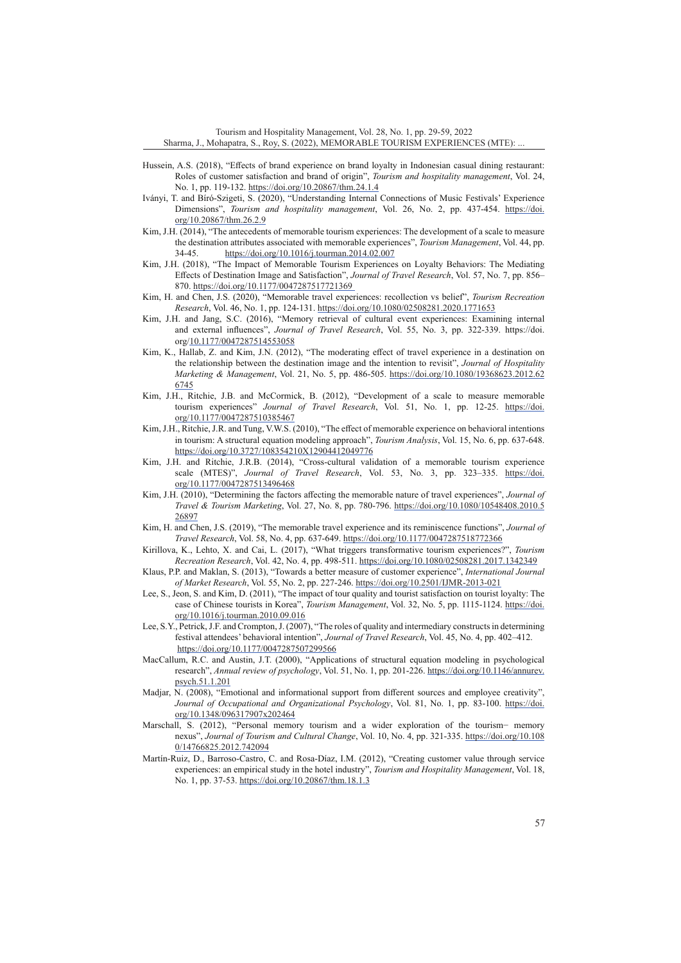- Hussein, A.S. (2018), "Effects of brand experience on brand loyalty in Indonesian casual dining restaurant: Roles of customer satisfaction and brand of origin", *Tourism and hospitality management*, Vol. 24, No. 1, pp. 119-132. <https://doi.org/10.20867/thm.24.1.4>
- Iványi, T. and Bíró-Szigeti, S. (2020), "Understanding Internal Connections of Music Festivals' Experience Dimensions", *Tourism and hospitality management*, Vol. 26, No. 2, pp. 437-454. [https://doi.](https://doi.org/10.20867/thm.26.2.9) [org/10.20867/thm.26.2.9](https://doi.org/10.20867/thm.26.2.9)
- Kim, J.H. (2014), "The antecedents of memorable tourism experiences: The development of a scale to measure the destination attributes associated with memorable experiences", *Tourism Management*, Vol. 44, pp. 34-45. <https://doi.org/10.1016/j.tourman.2014.02.007>
- Kim, J.H. (2018), "The Impact of Memorable Tourism Experiences on Loyalty Behaviors: The Mediating Effects of Destination Image and Satisfaction", *Journal of Travel Research*, Vol. 57, No. 7, pp. 856– 870. [https://doi.org/10.1177/0047287517721369](https://doi.org/10.1177%2F0047287517721369)
- Kim, H. and Chen, J.S. (2020), "Memorable travel experiences: recollection vs belief", *Tourism Recreation Research*, Vol. 46, No. 1, pp. 124-131. <https://doi.org/10.1080/02508281.2020.1771653>
- Kim, J.H. and Jang, S.C. (2016), "Memory retrieval of cultural event experiences: Examining internal and external influences", *Journal of Travel Research*, Vol. 55, No. 3, pp. 322-339. https://doi. org/[10.1177/0047287514553058](http://doi.org/10.1177/0047287514553058)
- Kim, K., Hallab, Z. and Kim, J.N. (2012), "The moderating effect of travel experience in a destination on the relationship between the destination image and the intention to revisit", *Journal of Hospitality Marketing & Management*, Vol. 21, No. 5, pp. 486-505. [https://doi.org/10.1080/19368623.2012.62](https://doi.org/10.1080/19368623.2012.626745) [6745](https://doi.org/10.1080/19368623.2012.626745)
- Kim, J.H., Ritchie, J.B. and McCormick, B. (2012), "Development of a scale to measure memorable tourism experiences" *Journal of Travel Research*, Vol. 51, No. 1, pp. 12-25. [https://doi.](https://doi.org/10.1177%2F0047287510385467) [org/10.1177/0047287510385467](https://doi.org/10.1177%2F0047287510385467)
- Kim, J.H., Ritchie, J.R. and Tung, V.W.S. (2010), "The effect of memorable experience on behavioral intentions in tourism: A structural equation modeling approach", *Tourism Analysis*, Vol. 15, No. 6, pp. 637-648. <https://doi.org/10.3727/108354210X12904412049776>
- Kim, J.H. and Ritchie, J.R.B. (2014), "Cross-cultural validation of a memorable tourism experience scale (MTES)", *Journal of Travel Research*, Vol. 53, No. 3, pp. 323–335. [https://doi.](https://doi.org/10.1177/0047287513496468) [org/10.1177/0047287513496468](https://doi.org/10.1177/0047287513496468)
- Kim, J.H. (2010), "Determining the factors affecting the memorable nature of travel experiences", *Journal of Travel & Tourism Marketing*, Vol. 27, No. 8, pp. 780-796. [https://doi.org/10.1080/10548408.2010.5](https://doi.org/10.1080/10548408.2010.526897) [26897](https://doi.org/10.1080/10548408.2010.526897)
- Kim, H. and Chen, J.S. (2019), "The memorable travel experience and its reminiscence functions", *Journal of Travel Research*, Vol. 58, No. 4, pp. 637-649. [https://doi.org/10.1177/0047287518772366](https://doi.org/10.1177%2F0047287518772366)
- Kirillova, K., Lehto, X. and Cai, L. (2017), "What triggers transformative tourism experiences?", *Tourism Recreation Research*, Vol. 42, No. 4, pp. 498-511.<https://doi.org/10.1080/02508281.2017.1342349>
- Klaus, P.P. and Maklan, S. (2013), "Towards a better measure of customer experience", *International Journal of Market Research*, Vol. 55, No. 2, pp. 227-246. [https://doi.org/10.2501/IJMR-2013-021](https://doi.org/10.2501%2FIJMR-2013-021)
- Lee, S., Jeon, S. and Kim, D. (2011), "The impact of tour quality and tourist satisfaction on tourist loyalty: The case of Chinese tourists in Korea", *Tourism Management*, Vol. 32, No. 5, pp. 1115-1124. [https://doi.](https://doi.org/10.1016/j.tourman.2010.09.016) [org/10.1016/j.tourman.2010.09.016](https://doi.org/10.1016/j.tourman.2010.09.016)
- Lee, S.Y., Petrick, J.F. and Crompton, J. (2007), "The roles of quality and intermediary constructs in determining festival attendees' behavioral intention", *Journal of Travel Research*, Vol. 45, No. 4, pp. 402–412. <https://doi.org/10.1177/0047287507299566>
- MacCallum, R.C. and Austin, J.T. (2000), "Applications of structural equation modeling in psychological research", *Annual review of psychology*, Vol. 51, No. 1, pp. 201-226. [https://doi.org/10.1146/annurev.](https://doi.org/10.1146/annurev.psych.51.1.201) [psych.51.1.201](https://doi.org/10.1146/annurev.psych.51.1.201)
- Madjar, N. (2008), "Emotional and informational support from different sources and employee creativity", *Journal of Occupational and Organizational Psychology*, Vol. 81, No. 1, pp. 83-100. [https://doi.](https://doi.org/10.1348/096317907x202464) [org/10.1348/096317907x202464](https://doi.org/10.1348/096317907x202464)
- Marschall, S. (2012), "Personal memory tourism and a wider exploration of the tourism− memory nexus", *Journal of Tourism and Cultural Change*, Vol. 10, No. 4, pp. 321-335. [https://doi.org/10.108](https://doi.org/10.1080/14766825.2012.742094) [0/14766825.2012.742094](https://doi.org/10.1080/14766825.2012.742094)
- Martín-Ruiz, D., Barroso-Castro, C. and Rosa-Díaz, I.M. (2012), "Creating customer value through service experiences: an empirical study in the hotel industry", *Tourism and Hospitality Management*, Vol. 18, No. 1, pp. 37-53. <https://doi.org/10.20867/thm.18.1.3>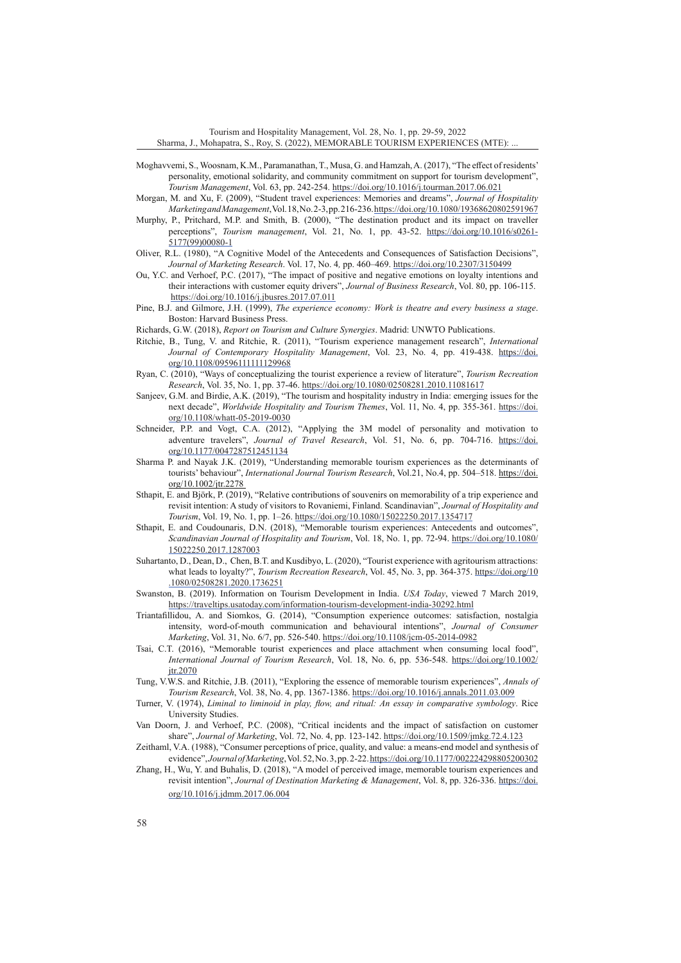- Moghavvemi, S., Woosnam, K.M., Paramanathan, T., Musa, G. and Hamzah, A. (2017), "The effect of residents' personality, emotional solidarity, and community commitment on support for tourism development", *Tourism Management*, Vol. 63, pp. 242-254. <https://doi.org/10.1016/j.tourman.2017.06.021>
- Morgan, M. and Xu, F. (2009), "Student travel experiences: Memories and dreams", *Journal of Hospitality Marketing and Management*,Vol. 18, No. 2-3, pp. 216-236.<https://doi.org/10.1080/19368620802591967>
- Murphy, P., Pritchard, M.P. and Smith, B. (2000), "The destination product and its impact on traveller perceptions", *Tourism management*, Vol. 21, No. 1, pp. 43-52. [https://doi.org/10.1016/s0261-](https://doi.org/10.1016/s0261-5177(99)00080-1) [5177\(99\)00080-1](https://doi.org/10.1016/s0261-5177(99)00080-1)
- Oliver, R.L. (1980), "A Cognitive Model of the Antecedents and Consequences of Satisfaction Decisions", *Journal of Marketing Research*. Vol. 17, No. 4*,* pp. 460–469. <https://doi.org/10.2307/3150499>
- Ou, Y.C. and Verhoef, P.C. (2017), "The impact of positive and negative emotions on loyalty intentions and their interactions with customer equity drivers", *Journal of Business Research*, Vol. 80, pp. 106-115. <https://doi.org/10.1016/j.jbusres.2017.07.011>
- Pine, B.J. and Gilmore, J.H. (1999), *The experience economy: Work is theatre and every business a stage*. Boston: Harvard Business Press.
- Richards, G.W. (2018), *Report on Tourism and Culture Synergies*. Madrid: UNWTO Publications.
- Ritchie, B., Tung, V. and Ritchie, R. (2011), "Tourism experience management research", *International Journal of Contemporary Hospitality Management*, Vol. 23, No. 4, pp. 419-438. [https://doi.](https://doi.org/10.1108/09596111111129968) [org/10.1108/09596111111129968](https://doi.org/10.1108/09596111111129968)
- Ryan, C. (2010), "Ways of conceptualizing the tourist experience a review of literature", *Tourism Recreation Research*, Vol. 35, No. 1, pp. 37-46. <https://doi.org/10.1080/02508281.2010.11081617>
- Sanjeev, G.M. and Birdie, A.K. (2019), "The tourism and hospitality industry in India: emerging issues for the next decade", *Worldwide Hospitality and Tourism Themes*, Vol. 11, No. 4, pp. 355-361. [https://doi.](https://doi.org/10.1108/whatt-05-2019-0030) [org/10.1108/whatt-05-2019-0030](https://doi.org/10.1108/whatt-05-2019-0030)
- Schneider, P.P. and Vogt, C.A. (2012), "Applying the 3M model of personality and motivation to adventure travelers", *Journal of Travel Research*, Vol. 51, No. 6, pp. 704-716. [https://doi.](https://doi.org/10.1177/0047287512451134) [org/10.1177/0047287512451134](https://doi.org/10.1177/0047287512451134)
- Sharma P. and Nayak J.K. (2019), "Understanding memorable tourism experiences as the determinants of tourists' behaviour", *International Journal Tourism Research*, Vol.21, No.4, pp. 504–518. [https://doi.](https://doi.org/10.1002/jtr.2278) [org/10.1002/jtr.2278](https://doi.org/10.1002/jtr.2278)
- Sthapit, E. and Björk, P. (2019), "Relative contributions of souvenirs on memorability of a trip experience and revisit intention: A study of visitors to Rovaniemi, Finland. Scandinavian", *Journal of Hospitality and Tourism*, Vol. 19, No. 1, pp. 1–26. <https://doi.org/10.1080/15022250.2017.1354717>
- Sthapit, E. and Coudounaris, D.N. (2018), "Memorable tourism experiences: Antecedents and outcomes", *Scandinavian Journal of Hospitality and Tourism*, Vol. 18, No. 1, pp. 72-94. [https://doi.org/10.1080/](https://doi.org/10.1080/15022250.2017.1287003) [15022250.2017.1287003](https://doi.org/10.1080/15022250.2017.1287003)
- Suhartanto, D., Dean, D., Chen, B.T. and Kusdibyo, L. (2020), "Tourist experience with agritourism attractions: what leads to loyalty?", *Tourism Recreation Research*, Vol. 45, No. 3, pp. 364-375. [https://doi.org/10](https://doi.org/10.1080/02508281.2020.1736251) [.1080/02508281.2020.1736251](https://doi.org/10.1080/02508281.2020.1736251)
- Swanston, B. (2019). Information on Tourism Development in India. *USA Today*, viewed 7 March 2019, <https://traveltips.usatoday.com/information-tourism-development-india-30292.html>
- Triantafillidou, A. and Siomkos, G. (2014), "Consumption experience outcomes: satisfaction, nostalgia intensity, word-of-mouth communication and behavioural intentions", *Journal of Consumer Marketing*, Vol. 31, No. 6/7, pp. 526-540.<https://doi.org/10.1108/jcm-05-2014-0982>
- Tsai, C.T. (2016), "Memorable tourist experiences and place attachment when consuming local food", *International Journal of Tourism Research*, Vol. 18, No. 6, pp. 536-548. [https://doi.org/10.1002/](https://doi.org/10.1002/jtr.2070) [jtr.2070](https://doi.org/10.1002/jtr.2070)
- Tung, V.W.S. and Ritchie, J.B. (2011), "Exploring the essence of memorable tourism experiences", *Annals of Tourism Research*, Vol. 38, No. 4, pp. 1367-1386. <https://doi.org/10.1016/j.annals.2011.03.009>
- Turner, V. (1974), *Liminal to liminoid in play, flow, and ritual: An essay in comparative symbology*. Rice University Studies.

Van Doorn, J. and Verhoef, P.C. (2008), "Critical incidents and the impact of satisfaction on customer share", *Journal of Marketing*, Vol. 72, No. 4, pp. 123-142. <https://doi.org/10.1509/jmkg.72.4.123>

- Zeithaml, V.A. (1988), "Consumer perceptions of price, quality, and value: a means-end model and synthesis of evidence",*Journal of Marketing*,Vol. 52, No. 3, pp. 2-22. <https://doi.org/10.1177/002224298805200302>
- Zhang, H., Wu, Y. and Buhalis, D. (2018), "A model of perceived image, memorable tourism experiences and revisit intention", *Journal of Destination Marketing & Management*, Vol. 8, pp. 326-336. [https://doi.](https://doi.org/10.1016/j.jdmm.2017.06.004) [org/10.1016/j.jdmm.2017.06.004](https://doi.org/10.1016/j.jdmm.2017.06.004)